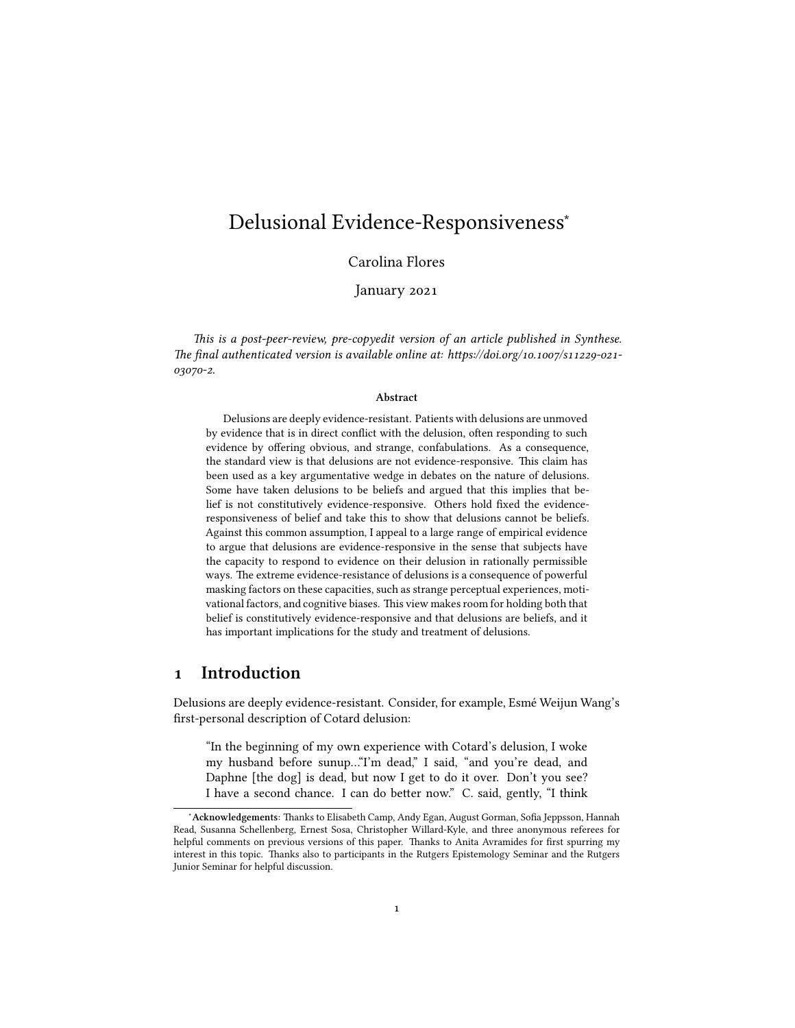# Delusional Evidence-Responsiveness<sup>∗</sup>

### Carolina Flores

January 2021

*This is a post-peer-review, pre-copyedit version of an article published in Synthese. The final authenticated version is available online at: https://doi.org/10.1007/s11229-021- 03070-2*.

#### **Abstract**

Delusions are deeply evidence-resistant. Patients with delusions are unmoved by evidence that is in direct conflict with the delusion, often responding to such evidence by offering obvious, and strange, confabulations. As a consequence, the standard view is that delusions are not evidence-responsive. This claim has been used as a key argumentative wedge in debates on the nature of delusions. Some have taken delusions to be beliefs and argued that this implies that belief is not constitutively evidence-responsive. Others hold fixed the evidenceresponsiveness of belief and take this to show that delusions cannot be beliefs. Against this common assumption, I appeal to a large range of empirical evidence to argue that delusions are evidence-responsive in the sense that subjects have the capacity to respond to evidence on their delusion in rationally permissible ways. The extreme evidence-resistance of delusions is a consequence of powerful masking factors on these capacities, such as strange perceptual experiences, motivational factors, and cognitive biases. This view makes room for holding both that belief is constitutively evidence-responsive and that delusions are beliefs, and it has important implications for the study and treatment of delusions.

## **1 Introduction**

Delusions are deeply evidence-resistant. Consider, for example, Esmé Weijun Wang's first-personal description of Cotard delusion:

"In the beginning of my own experience with Cotard's delusion, I woke my husband before sunup…"I'm dead," I said, "and you're dead, and Daphne [the dog] is dead, but now I get to do it over. Don't you see? I have a second chance. I can do better now." C. said, gently, "I think

<sup>∗</sup>**Acknowledgements:** Thanks to Elisabeth Camp, Andy Egan, August Gorman, Sofia Jeppsson, Hannah Read, Susanna Schellenberg, Ernest Sosa, Christopher Willard-Kyle, and three anonymous referees for helpful comments on previous versions of this paper. Thanks to Anita Avramides for first spurring my interest in this topic. Thanks also to participants in the Rutgers Epistemology Seminar and the Rutgers Junior Seminar for helpful discussion.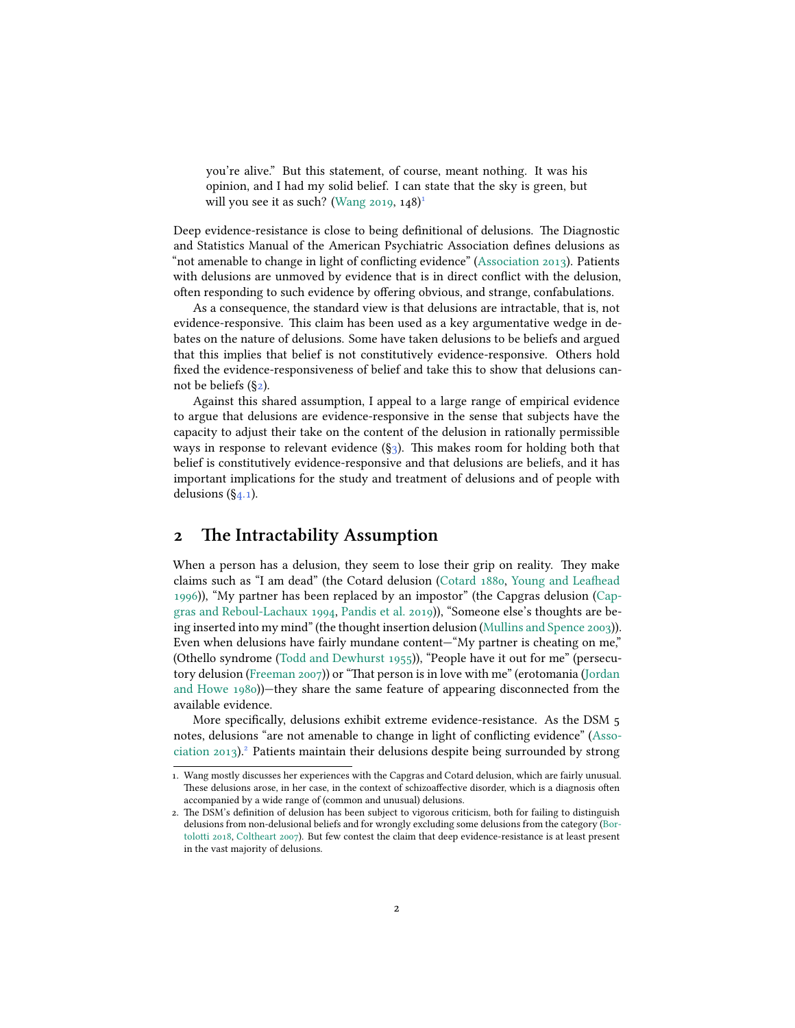you're alive." But this statement, of course, meant nothing. It was his opinion, and I had my solid belief. I can state that the sky is green, but will you see it as such? [\(Wang](#page-34-0) [2019,](#page-34-0)  $148$ )<sup>1</sup>

Deep evidence-resistance is close to being definitional of delusions. The Diagnostic and Statistics Manual of the American Psychiatric Association defines delusions as "not amenable to change in light of conflicting evidence"([Association](#page-27-0) [2013](#page-27-0)). Patients with delusions are unmoved by evidence that is in direct conflict with the delusion, often responding to such evidence by offering obvious, and strange, confabulations.

As a consequence, the standard view is that delusions are intractable, that is, not evidence-responsive. This claim has been used as a key argumentative wedge in debates on the nature of delusions. Some have taken delusions to be beliefs and argued that this implies that belief is not constitutively evidence-responsive. Others hold fixed the evidence-responsiveness of belief and take this to show that delusions cannot be beliefs ([§2\)](#page-1-0).

Against this shared assumption, I appeal to a large range of empirical evidence to argue that delusions are evidence-responsive in the sense that subjects have the capacity to adjust their take on the content of the delusion in rationally permissible ways in response to relevant evidence  $(\S_3)$  $(\S_3)$  $(\S_3)$ . This makes room for holding both that belief is constitutively evidence-responsive and that delusions are beliefs, and it has important implications for the study and treatment of delusions and of people with delusions  $(\S_{4.1})$ .

## <span id="page-1-0"></span>**2 The Intractability Assumption**

When a person has a delusion, they seem to lose their grip on reality. They make claims such as "I am dead" (the Cotard delusion([Cotard](#page-28-0) [1880,](#page-28-0) [Young and Leafhead](#page-34-1) [1996](#page-34-1))), "My partner has been replaced by an impostor" (the Capgras delusion([Cap](#page-28-1)[gras and Reboul-Lachaux](#page-28-1) [1994](#page-28-1), [Pandis et al.](#page-32-0) [2019](#page-32-0))), "Someone else's thoughts are being inserted into my mind" (the thought insertion delusion [\(Mullins and Spence](#page-32-1) [2003\)](#page-32-1)). Even when delusions have fairly mundane content—"My partner is cheating on me," (Othello syndrome [\(Todd and Dewhurst](#page-33-0) [1955\)](#page-33-0)), "People have it out for me" (persecutory delusion [\(Freeman](#page-30-0) [2007](#page-30-0))) or "That person is in love with me" (erotomania([Jordan](#page-31-0) [and Howe](#page-31-0) [1980\)](#page-31-0))—they share the same feature of appearing disconnected from the available evidence.

More specifically, delusions exhibit extreme evidence-resistance. As the DSM 5 notes, delusions "are not amenable to change in light of conflicting evidence" [\(Asso](#page-27-0)[ciation](#page-27-0) [2013\)](#page-27-0).² Patients maintain their delusions despite being surrounded by strong

<sup>1.</sup> Wang mostly discusses her experiences with the Capgras and Cotard delusion, which are fairly unusual. These delusions arose, in her case, in the context of schizoaffective disorder, which is a diagnosis often accompanied by a wide range of (common and unusual) delusions.

<sup>2.</sup> The DSM's definition of delusion has been subject to vigorous criticism, both for failing to distinguish delusions from non-delusional beliefs and for wrongly excluding some delusions from the category [\(Bor](#page-27-1)[tolotti](#page-27-1) [2018](#page-27-1), [Coltheart](#page-28-2) [2007\)](#page-28-2). But few contest the claim that deep evidence-resistance is at least present in the vast majority of delusions.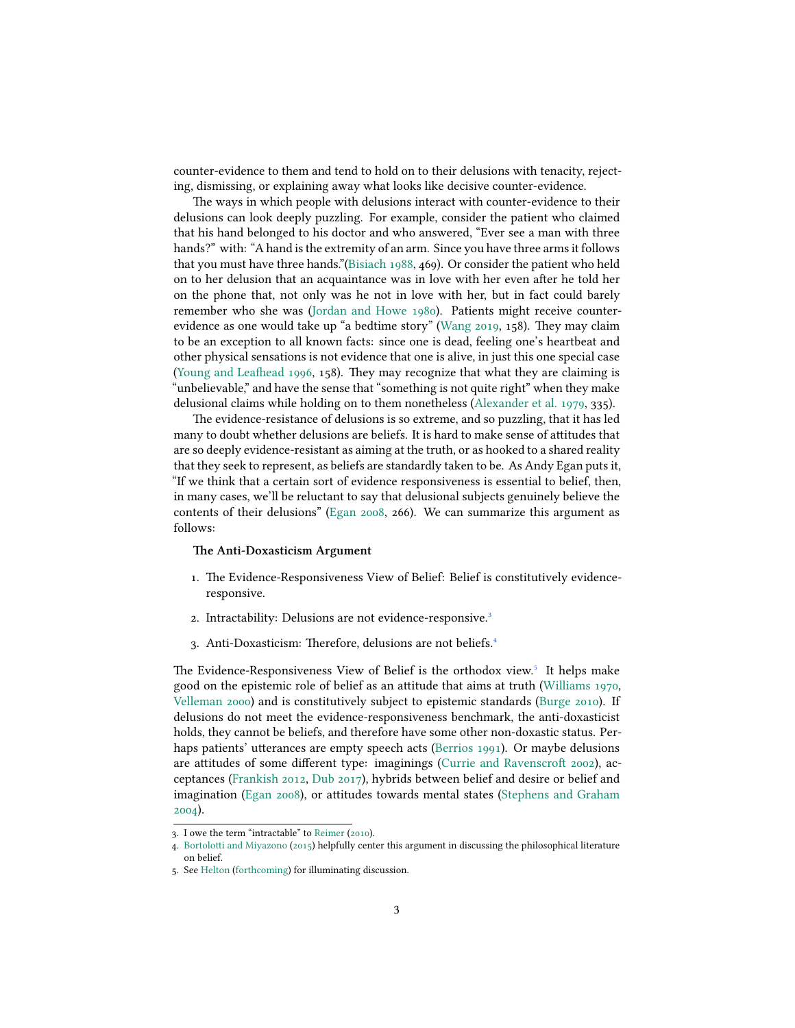counter-evidence to them and tend to hold on to their delusions with tenacity, rejecting, dismissing, or explaining away what looks like decisive counter-evidence.

The ways in which people with delusions interact with counter-evidence to their delusions can look deeply puzzling. For example, consider the patient who claimed that his hand belonged to his doctor and who answered, "Ever see a man with three hands?" with: "A hand is the extremity of an arm. Since you have three arms it follows that you must have three hands."[\(Bisiach](#page-27-2) [1988](#page-27-2), 469). Or consider the patient who held on to her delusion that an acquaintance was in love with her even after he told her on the phone that, not only was he not in love with her, but in fact could barely remember who she was [\(Jordan and Howe](#page-31-0) [1980\)](#page-31-0). Patients might receive counterevidence as one would take up "a bedtime story" [\(Wang](#page-34-0) [2019](#page-34-0), 158). They may claim to be an exception to all known facts: since one is dead, feeling one's heartbeat and other physical sensations is not evidence that one is alive, in just this one special case [\(Young and Leafhead](#page-34-1) [1996](#page-34-1), 158). They may recognize that what they are claiming is "unbelievable," and have the sense that "something is not quite right" when they make delusional claims while holding on to them nonetheless [\(Alexander et al.](#page-27-3) [1979](#page-27-3), 335).

The evidence-resistance of delusions is so extreme, and so puzzling, that it has led many to doubt whether delusions are beliefs. It is hard to make sense of attitudes that are so deeply evidence-resistant as aiming at the truth, or as hooked to a shared reality that they seek to represent, as beliefs are standardly taken to be. As Andy Egan puts it, "If we think that a certain sort of evidence responsiveness is essential to belief, then, in many cases, we'll be reluctant to say that delusional subjects genuinely believe the contents of their delusions"([Egan](#page-29-0) [2008](#page-29-0), 266). We can summarize this argument as follows:

#### **The Anti-Doxasticism Argument**

- 1. The Evidence-Responsiveness View of Belief: Belief is constitutively evidenceresponsive.
- 2. Intractability: Delusions are not evidence-responsive.<sup>3</sup>
- 3. Anti-Doxasticism: Therefore, delusions are not beliefs.<sup>4</sup>

The Evidence-Responsiveness View of Belief is the orthodox view.<sup>5</sup> It helps make good on the epistemic role of belief as an attitude that aims at truth([Williams](#page-34-2) [1970](#page-34-2), [Velleman](#page-34-3) [2000](#page-34-3)) and is constitutively subject to epistemic standards [\(Burge](#page-28-3) [2010](#page-28-3)). If delusions do not meet the evidence-responsiveness benchmark, the anti-doxasticist holds, they cannot be beliefs, and therefore have some other non-doxastic status. Perhaps patients' utterances are empty speech acts [\(Berrios](#page-27-4) [1991\)](#page-27-4). Or maybe delusions are attitudes of some different type: imaginings [\(Currie and Ravenscroft](#page-29-1) [2002](#page-29-1)), acceptances([Frankish](#page-30-1) [2012,](#page-30-1) [Dub](#page-29-2) [2017\)](#page-29-2), hybrids between belief and desire or belief and imagination([Egan](#page-29-0) [2008](#page-29-0)), or attitudes towards mental states [\(Stephens and Graham](#page-33-1) [2004](#page-33-1)).

<sup>3.</sup> I owe the term "intractable" to [Reimer](#page-33-2) ([2010\)](#page-33-2).

<sup>4.</sup> [Bortolotti and Miyazono](#page-28-4) ([2015](#page-28-4)) helpfully center this argument in discussing the philosophical literature on belief.

<sup>5.</sup> See [Helton](#page-31-1) [\(forthcoming\)](#page-31-1) for illuminating discussion.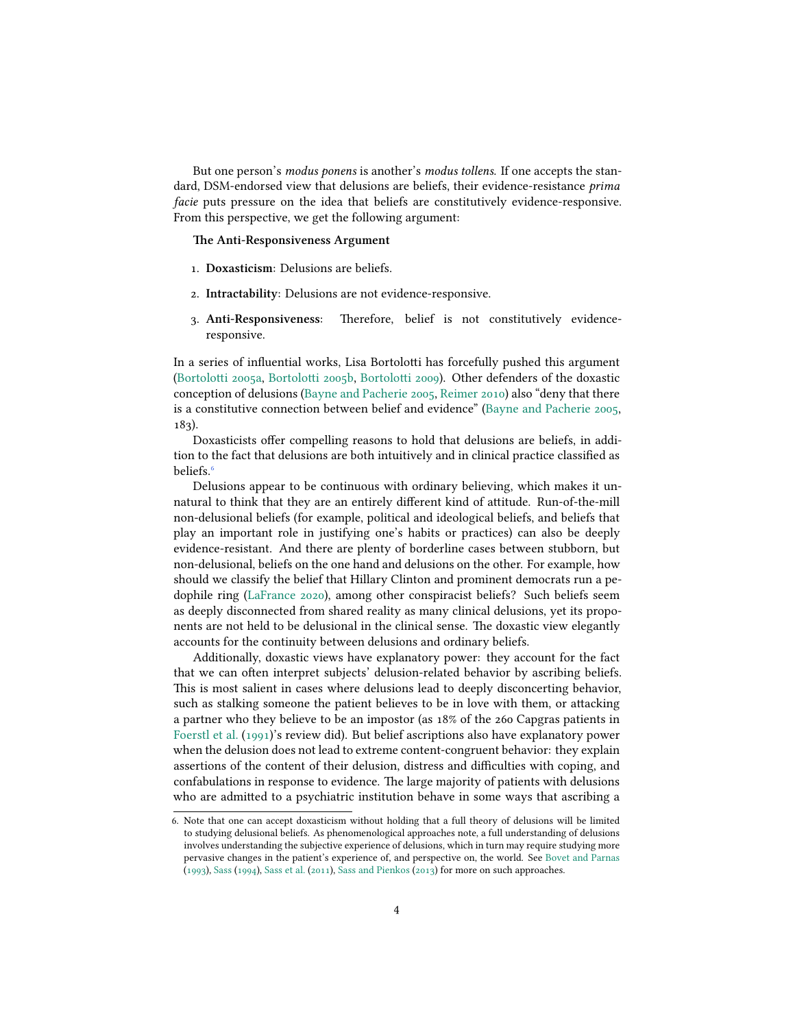But one person's *modus ponens* is another's *modus tollens*. If one accepts the standard, DSM-endorsed view that delusions are beliefs, their evidence-resistance *prima facie* puts pressure on the idea that beliefs are constitutively evidence-responsive. From this perspective, we get the following argument:

**The Anti-Responsiveness Argument**

- 1. **Doxasticism**: Delusions are beliefs.
- 2. **Intractability**: Delusions are not evidence-responsive.
- 3. **Anti-Responsiveness**: Therefore, belief is not constitutively evidenceresponsive.

In a series of influential works, Lisa Bortolotti has forcefully pushed this argument [\(Bortolotti](#page-27-5) [2005a,](#page-27-5) [Bortolotti](#page-27-6) [2005b](#page-27-6), [Bortolotti](#page-27-7) [2009](#page-27-7)). Other defenders of the doxastic conception of delusions([Bayne and Pacherie](#page-27-8) [2005,](#page-27-8) [Reimer](#page-33-2) [2010\)](#page-33-2) also "deny that there is a constitutive connection between belief and evidence" [\(Bayne and Pacherie](#page-27-8) [2005](#page-27-8), 183).

Doxasticists offer compelling reasons to hold that delusions are beliefs, in addition to the fact that delusions are both intuitively and in clinical practice classified as beliefs.<sup>6</sup>

Delusions appear to be continuous with ordinary believing, which makes it unnatural to think that they are an entirely different kind of attitude. Run-of-the-mill non-delusional beliefs (for example, political and ideological beliefs, and beliefs that play an important role in justifying one's habits or practices) can also be deeply evidence-resistant. And there are plenty of borderline cases between stubborn, but non-delusional, beliefs on the one hand and delusions on the other. For example, how should we classify the belief that Hillary Clinton and prominent democrats run a pedophile ring([LaFrance](#page-31-2) [2020\)](#page-31-2), among other conspiracist beliefs? Such beliefs seem as deeply disconnected from shared reality as many clinical delusions, yet its proponents are not held to be delusional in the clinical sense. The doxastic view elegantly accounts for the continuity between delusions and ordinary beliefs.

Additionally, doxastic views have explanatory power: they account for the fact that we can often interpret subjects' delusion-related behavior by ascribing beliefs. This is most salient in cases where delusions lead to deeply disconcerting behavior, such as stalking someone the patient believes to be in love with them, or attacking a partner who they believe to be an impostor (as 18% of the 260 Capgras patients in [Foerstl et al.](#page-29-3) [\(1991\)](#page-29-3)'s review did). But belief ascriptions also have explanatory power when the delusion does not lead to extreme content-congruent behavior: they explain assertions of the content of their delusion, distress and difficulties with coping, and confabulations in response to evidence. The large majority of patients with delusions who are admitted to a psychiatric institution behave in some ways that ascribing a

<sup>6.</sup> Note that one can accept doxasticism without holding that a full theory of delusions will be limited to studying delusional beliefs. As phenomenological approaches note, a full understanding of delusions involves understanding the subjective experience of delusions, which in turn may require studying more pervasive changes in the patient's experience of, and perspective on, the world. See [Bovet and Parnas](#page-28-5) ([1993\)](#page-28-5), [Sass](#page-33-3) ([1994\)](#page-33-3), [Sass et al.](#page-33-4) ([2011](#page-33-4)), [Sass and Pienkos](#page-33-5) [\(2013\)](#page-33-5) for more on such approaches.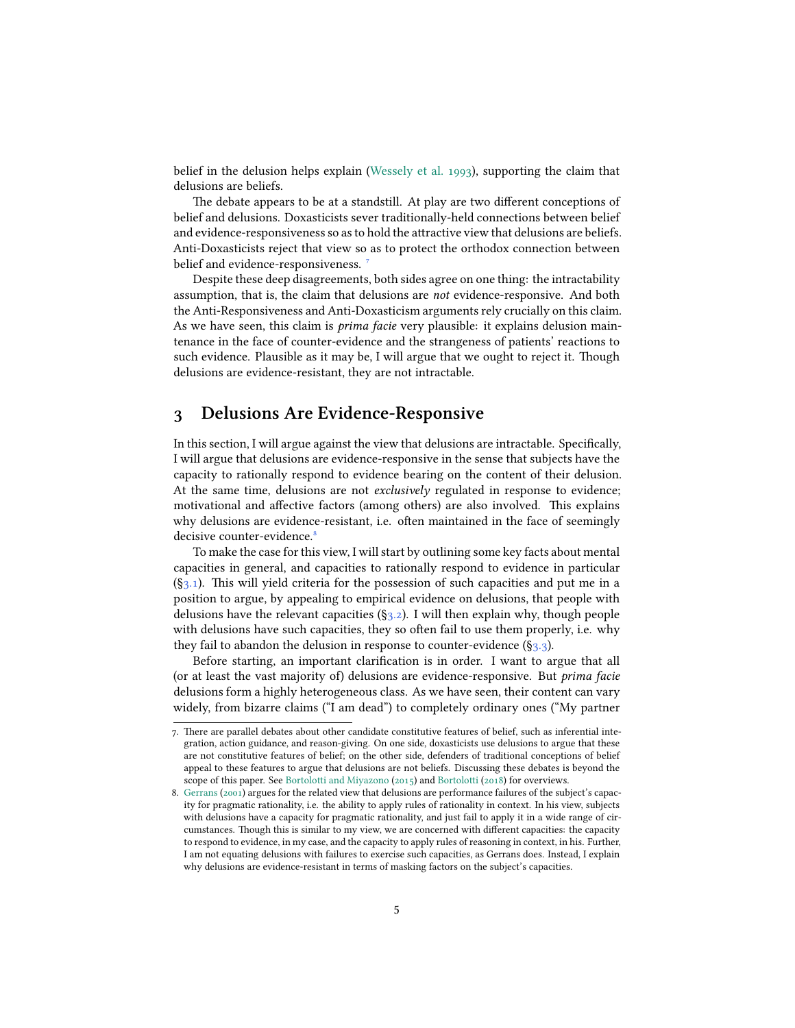belief in the delusion helps explain [\(Wessely et al.](#page-34-4) [1993](#page-34-4)), supporting the claim that delusions are beliefs.

The debate appears to be at a standstill. At play are two different conceptions of belief and delusions. Doxasticists sever traditionally-held connections between belief and evidence-responsiveness so as to hold the attractive view that delusions are beliefs. Anti-Doxasticists reject that view so as to protect the orthodox connection between belief and evidence-responsiveness.

Despite these deep disagreements, both sides agree on one thing: the intractability assumption, that is, the claim that delusions are *not* evidence-responsive. And both the Anti-Responsiveness and Anti-Doxasticism arguments rely crucially on this claim. As we have seen, this claim is *prima facie* very plausible: it explains delusion maintenance in the face of counter-evidence and the strangeness of patients' reactions to such evidence. Plausible as it may be, I will argue that we ought to reject it. Though delusions are evidence-resistant, they are not intractable.

## <span id="page-4-0"></span>**3 Delusions Are Evidence-Responsive**

In this section, I will argue against the view that delusions are intractable. Specifically, I will argue that delusions are evidence-responsive in the sense that subjects have the capacity to rationally respond to evidence bearing on the content of their delusion. At the same time, delusions are not *exclusively* regulated in response to evidence; motivational and affective factors (among others) are also involved. This explains why delusions are evidence-resistant, i.e. often maintained in the face of seemingly decisive counter-evidence.<sup>8</sup>

To make the case for this view, I will start by outlining some key facts about mental capacities in general, and capacities to rationally respond to evidence in particular  $(\S_3.1)$ . This will yield criteria for the possession of such capacities and put me in a position to argue, by appealing to empirical evidence on delusions, that people with delusions have the relevant capacities  $(\S_3.2)$ . I will then explain why, though people with delusions have such capacities, they so often fail to use them properly, i.e. why they fail to abandon the delusion in response to counter-evidence  $(\S_{3,3})$ .

Before starting, an important clarification is in order. I want to argue that all (or at least the vast majority of) delusions are evidence-responsive. But *prima facie* delusions form a highly heterogeneous class. As we have seen, their content can vary widely, from bizarre claims ("I am dead") to completely ordinary ones ("My partner

<sup>7.</sup> There are parallel debates about other candidate constitutive features of belief, such as inferential integration, action guidance, and reason-giving. On one side, doxasticists use delusions to argue that these are not constitutive features of belief; on the other side, defenders of traditional conceptions of belief appeal to these features to argue that delusions are not beliefs. Discussing these debates is beyond the scope of this paper. See [Bortolotti and Miyazono](#page-28-4) [\(2015\)](#page-28-4) and [Bortolotti](#page-27-1) [\(2018\)](#page-27-1) for overviews.

<sup>8.</sup> [Gerrans](#page-30-2) ([2001\)](#page-30-2) argues for the related view that delusions are performance failures of the subject's capacity for pragmatic rationality, i.e. the ability to apply rules of rationality in context. In his view, subjects with delusions have a capacity for pragmatic rationality, and just fail to apply it in a wide range of circumstances. Though this is similar to my view, we are concerned with different capacities: the capacity to respond to evidence, in my case, and the capacity to apply rules of reasoning in context, in his. Further, I am not equating delusions with failures to exercise such capacities, as Gerrans does. Instead, I explain why delusions are evidence-resistant in terms of masking factors on the subject's capacities.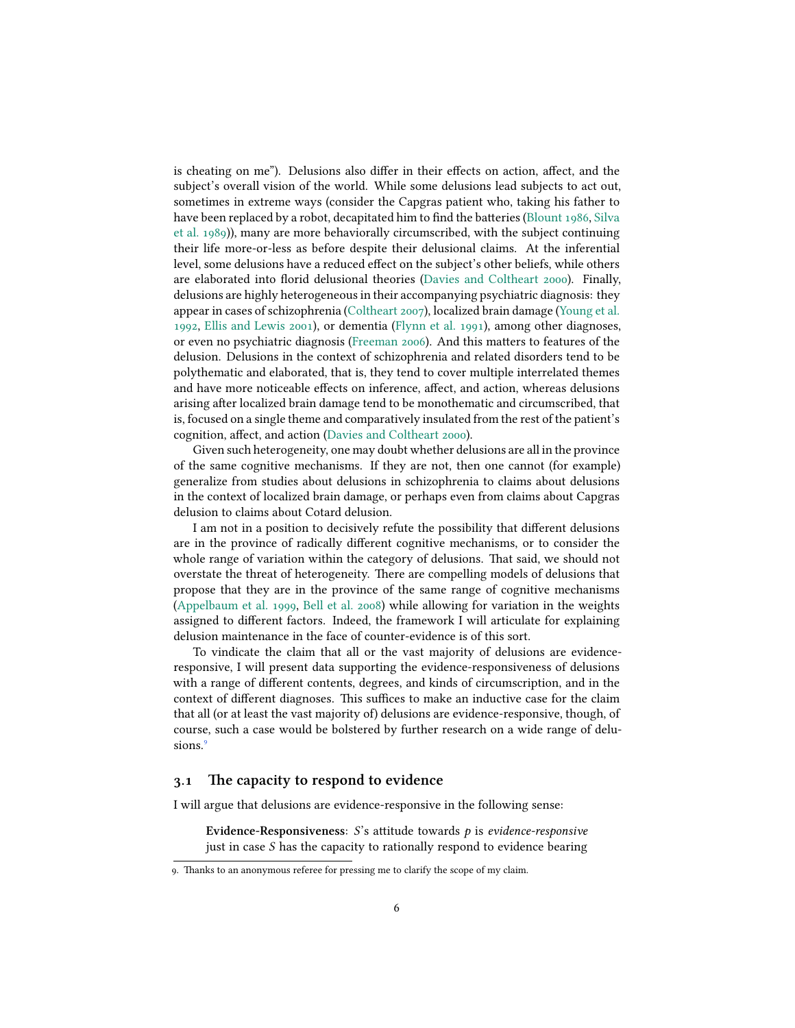is cheating on me"). Delusions also differ in their effects on action, affect, and the subject's overall vision of the world. While some delusions lead subjects to act out, sometimes in extreme ways (consider the Capgras patient who, taking his father to have been replaced by a robot, decapitated him to find the batteries([Blount](#page-27-9) [1986,](#page-27-9) [Silva](#page-33-6) [et al.](#page-33-6) [1989\)](#page-33-6)), many are more behaviorally circumscribed, with the subject continuing their life more-or-less as before despite their delusional claims. At the inferential level, some delusions have a reduced effect on the subject's other beliefs, while others are elaborated into florid delusional theories([Davies and Coltheart](#page-29-4) [2000](#page-29-4)). Finally, delusions are highly heterogeneous in their accompanying psychiatric diagnosis: they appear in cases of schizophrenia([Coltheart](#page-28-2) [2007\)](#page-28-2), localized brain damage([Young et al.](#page-34-5) [1992](#page-34-5), [Ellis and Lewis](#page-29-5) [2001](#page-29-5)), or dementia([Flynn et al.](#page-29-6) [1991\)](#page-29-6), among other diagnoses, or even no psychiatric diagnosis [\(Freeman](#page-30-3) [2006\)](#page-30-3). And this matters to features of the delusion. Delusions in the context of schizophrenia and related disorders tend to be polythematic and elaborated, that is, they tend to cover multiple interrelated themes and have more noticeable effects on inference, affect, and action, whereas delusions arising after localized brain damage tend to be monothematic and circumscribed, that is, focused on a single theme and comparatively insulated from the rest of the patient's cognition, affect, and action [\(Davies and Coltheart](#page-29-4) [2000](#page-29-4)).

Given such heterogeneity, one may doubt whether delusions are all in the province of the same cognitive mechanisms. If they are not, then one cannot (for example) generalize from studies about delusions in schizophrenia to claims about delusions in the context of localized brain damage, or perhaps even from claims about Capgras delusion to claims about Cotard delusion.

I am not in a position to decisively refute the possibility that different delusions are in the province of radically different cognitive mechanisms, or to consider the whole range of variation within the category of delusions. That said, we should not overstate the threat of heterogeneity. There are compelling models of delusions that propose that they are in the province of the same range of cognitive mechanisms [\(Appelbaum et al.](#page-27-10) [1999](#page-27-10), [Bell et al.](#page-27-11) [2008\)](#page-27-11) while allowing for variation in the weights assigned to different factors. Indeed, the framework I will articulate for explaining delusion maintenance in the face of counter-evidence is of this sort.

To vindicate the claim that all or the vast majority of delusions are evidenceresponsive, I will present data supporting the evidence-responsiveness of delusions with a range of different contents, degrees, and kinds of circumscription, and in the context of different diagnoses. This suffices to make an inductive case for the claim that all (or at least the vast majority of) delusions are evidence-responsive, though, of course, such a case would be bolstered by further research on a wide range of delusions.<sup>9</sup>

### <span id="page-5-0"></span>**3.1 The capacity to respond to evidence**

I will argue that delusions are evidence-responsive in the following sense:

Evidence-Responsiveness: S's attitude towards p is *evidence-responsive* just in case  $S$  has the capacity to rationally respond to evidence bearing

<sup>9.</sup> Thanks to an anonymous referee for pressing me to clarify the scope of my claim.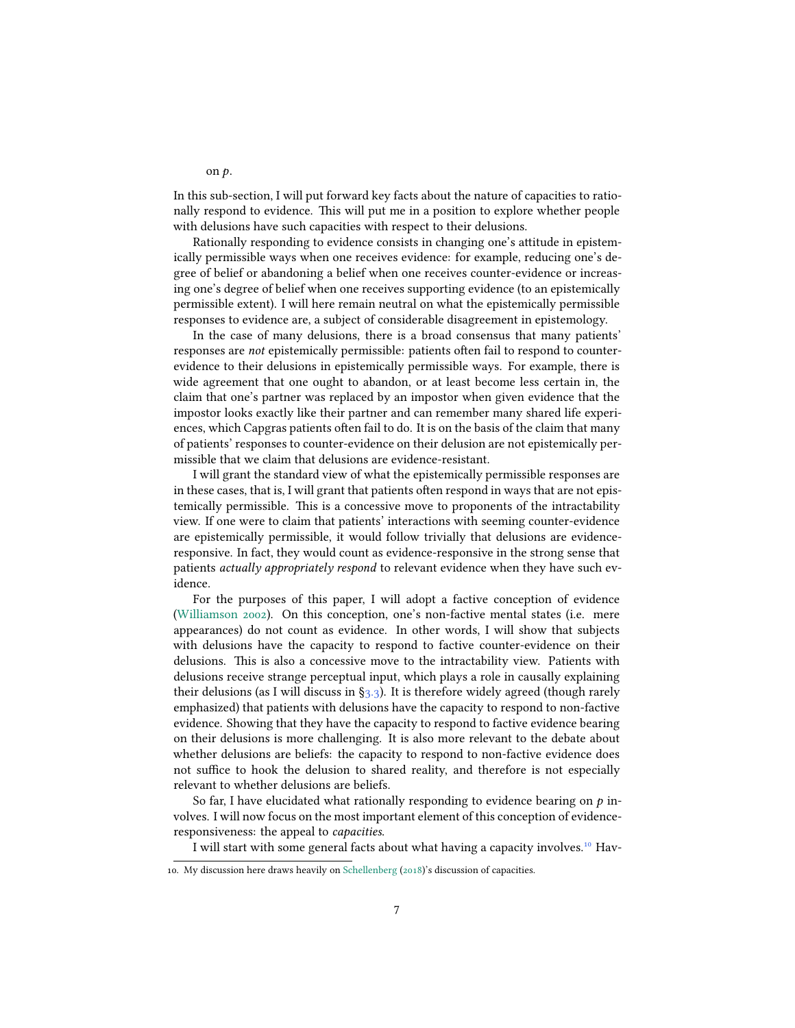In this sub-section, I will put forward key facts about the nature of capacities to rationally respond to evidence. This will put me in a position to explore whether people with delusions have such capacities with respect to their delusions.

Rationally responding to evidence consists in changing one's attitude in epistemically permissible ways when one receives evidence: for example, reducing one's degree of belief or abandoning a belief when one receives counter-evidence or increasing one's degree of belief when one receives supporting evidence (to an epistemically permissible extent). I will here remain neutral on what the epistemically permissible responses to evidence are, a subject of considerable disagreement in epistemology.

In the case of many delusions, there is a broad consensus that many patients' responses are *not* epistemically permissible: patients often fail to respond to counterevidence to their delusions in epistemically permissible ways. For example, there is wide agreement that one ought to abandon, or at least become less certain in, the claim that one's partner was replaced by an impostor when given evidence that the impostor looks exactly like their partner and can remember many shared life experiences, which Capgras patients often fail to do. It is on the basis of the claim that many of patients' responses to counter-evidence on their delusion are not epistemically permissible that we claim that delusions are evidence-resistant.

I will grant the standard view of what the epistemically permissible responses are in these cases, that is, I will grant that patients often respond in ways that are not epistemically permissible. This is a concessive move to proponents of the intractability view. If one were to claim that patients' interactions with seeming counter-evidence are epistemically permissible, it would follow trivially that delusions are evidenceresponsive. In fact, they would count as evidence-responsive in the strong sense that patients *actually appropriately respond* to relevant evidence when they have such evidence.

For the purposes of this paper, I will adopt a factive conception of evidence [\(Williamson](#page-34-6) [2002](#page-34-6)). On this conception, one's non-factive mental states (i.e. mere appearances) do not count as evidence. In other words, I will show that subjects with delusions have the capacity to respond to factive counter-evidence on their delusions. This is also a concessive move to the intractability view. Patients with delusions receive strange perceptual input, which plays a role in causally explaining their delusions (as I will discuss in  $\S_3$ . 3). It is therefore widely agreed (though rarely emphasized) that patients with delusions have the capacity to respond to non-factive evidence. Showing that they have the capacity to respond to factive evidence bearing on their delusions is more challenging. It is also more relevant to the debate about whether delusions are beliefs: the capacity to respond to non-factive evidence does not suffice to hook the delusion to shared reality, and therefore is not especially relevant to whether delusions are beliefs.

So far, I have elucidated what rationally responding to evidence bearing on  $p$  involves. I will now focus on the most important element of this conception of evidenceresponsiveness: the appeal to *capacities*.

I will start with some general facts about what having a capacity involves.<sup>10</sup> Hav-

on  $p$ .

<sup>10.</sup> My discussion here draws heavily on [Schellenberg](#page-33-7) [\(2018](#page-33-7))'s discussion of capacities.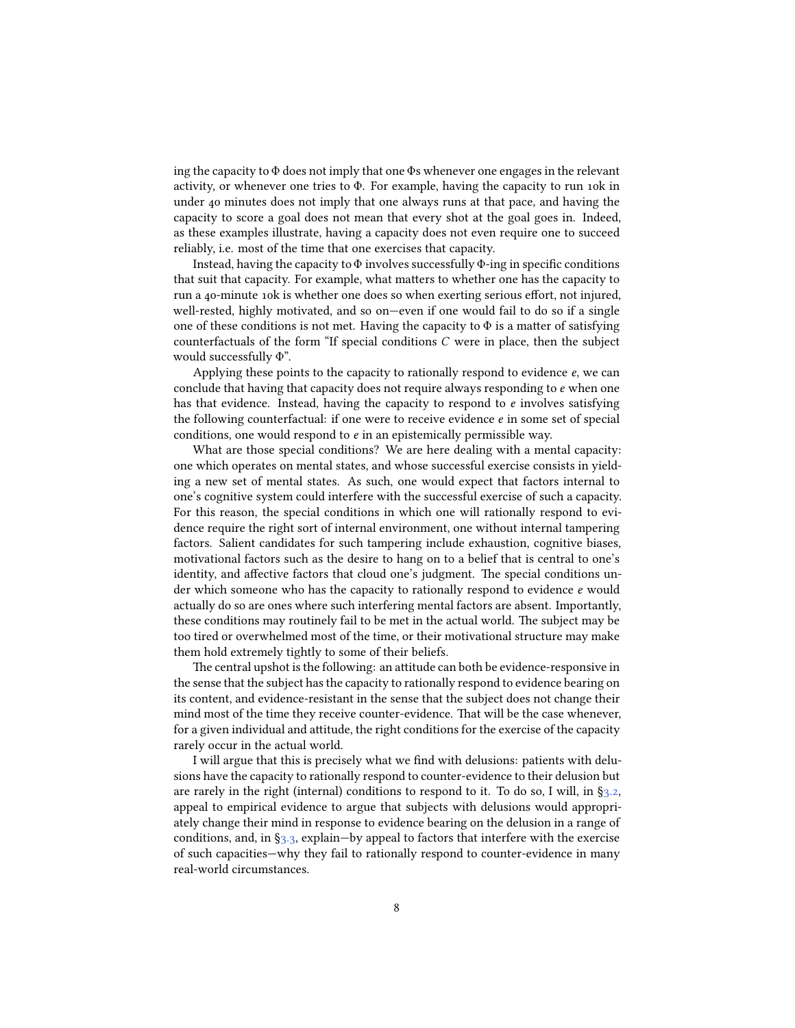ing the capacity to Φ does not imply that one Φs whenever one engages in the relevant activity, or whenever one tries to Φ. For example, having the capacity to run 10k in under 40 minutes does not imply that one always runs at that pace, and having the capacity to score a goal does not mean that every shot at the goal goes in. Indeed, as these examples illustrate, having a capacity does not even require one to succeed reliably, i.e. most of the time that one exercises that capacity.

Instead, having the capacity to  $\Phi$  involves successfully  $\Phi$ -ing in specific conditions that suit that capacity. For example, what matters to whether one has the capacity to run a 40-minute 10k is whether one does so when exerting serious effort, not injured, well-rested, highly motivated, and so on—even if one would fail to do so if a single one of these conditions is not met. Having the capacity to  $\Phi$  is a matter of satisfying counterfactuals of the form "If special conditions  $C$  were in place, then the subject would successfully Φ".

Applying these points to the capacity to rationally respond to evidence  $e$ , we can conclude that having that capacity does not require always responding to  $e$  when one has that evidence. Instead, having the capacity to respond to  $e$  involves satisfying the following counterfactual: if one were to receive evidence  $e$  in some set of special conditions, one would respond to  $e$  in an epistemically permissible way.

What are those special conditions? We are here dealing with a mental capacity: one which operates on mental states, and whose successful exercise consists in yielding a new set of mental states. As such, one would expect that factors internal to one's cognitive system could interfere with the successful exercise of such a capacity. For this reason, the special conditions in which one will rationally respond to evidence require the right sort of internal environment, one without internal tampering factors. Salient candidates for such tampering include exhaustion, cognitive biases, motivational factors such as the desire to hang on to a belief that is central to one's identity, and affective factors that cloud one's judgment. The special conditions under which someone who has the capacity to rationally respond to evidence  $e$  would actually do so are ones where such interfering mental factors are absent. Importantly, these conditions may routinely fail to be met in the actual world. The subject may be too tired or overwhelmed most of the time, or their motivational structure may make them hold extremely tightly to some of their beliefs.

The central upshot is the following: an attitude can both be evidence-responsive in the sense that the subject has the capacity to rationally respond to evidence bearing on its content, and evidence-resistant in the sense that the subject does not change their mind most of the time they receive counter-evidence. That will be the case whenever, for a given individual and attitude, the right conditions for the exercise of the capacity rarely occur in the actual world.

I will argue that this is precisely what we find with delusions: patients with delusions have the capacity to rationally respond to counter-evidence to their delusion but arerarely in the right (internal) conditions to respond to it. To do so, I will, in  $\S_{3,2}$ , appeal to empirical evidence to argue that subjects with delusions would appropriately change their mind in response to evidence bearing on the delusion in a range of conditions, and, in  $\S_3$ , explain—by appeal to factors that interfere with the exercise of such capacities—why they fail to rationally respond to counter-evidence in many real-world circumstances.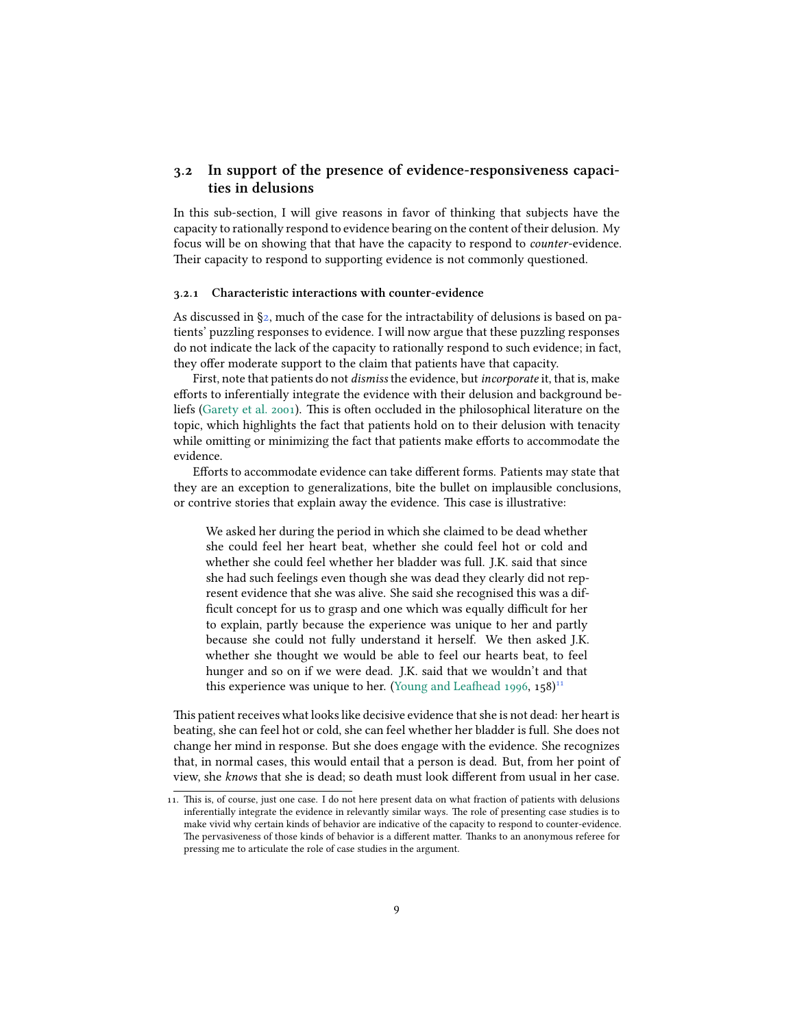## <span id="page-8-0"></span>**3.2 In support of the presence of evidence-responsiveness capacities in delusions**

In this sub-section, I will give reasons in favor of thinking that subjects have the capacity to rationally respond to evidence bearing on the content of their delusion. My focus will be on showing that that have the capacity to respond to *counter*-evidence. Their capacity to respond to supporting evidence is not commonly questioned.

#### **3.2.1 Characteristic interactions with counter-evidence**

Asdiscussed in  $\S$ [2](#page-1-0), much of the case for the intractability of delusions is based on patients' puzzling responses to evidence. I will now argue that these puzzling responses do not indicate the lack of the capacity to rationally respond to such evidence; in fact, they offer moderate support to the claim that patients have that capacity.

First, note that patients do not *dismiss* the evidence, but *incorporate* it, that is, make efforts to inferentially integrate the evidence with their delusion and background beliefs [\(Garety et al.](#page-30-4) [2001](#page-30-4)). This is often occluded in the philosophical literature on the topic, which highlights the fact that patients hold on to their delusion with tenacity while omitting or minimizing the fact that patients make efforts to accommodate the evidence.

Efforts to accommodate evidence can take different forms. Patients may state that they are an exception to generalizations, bite the bullet on implausible conclusions, or contrive stories that explain away the evidence. This case is illustrative:

We asked her during the period in which she claimed to be dead whether she could feel her heart beat, whether she could feel hot or cold and whether she could feel whether her bladder was full. J.K. said that since she had such feelings even though she was dead they clearly did not represent evidence that she was alive. She said she recognised this was a difficult concept for us to grasp and one which was equally difficult for her to explain, partly because the experience was unique to her and partly because she could not fully understand it herself. We then asked J.K. whether she thought we would be able to feel our hearts beat, to feel hunger and so on if we were dead. J.K. said that we wouldn't and that thisexperience was unique to her. ([Young and Leafhead](#page-34-1) [1996,](#page-34-1)  $158$ )<sup>11</sup>

This patient receives what looks like decisive evidence that she is not dead: her heart is beating, she can feel hot or cold, she can feel whether her bladder is full. She does not change her mind in response. But she does engage with the evidence. She recognizes that, in normal cases, this would entail that a person is dead. But, from her point of view, she *knows* that she is dead; so death must look different from usual in her case.

<sup>11.</sup> This is, of course, just one case. I do not here present data on what fraction of patients with delusions inferentially integrate the evidence in relevantly similar ways. The role of presenting case studies is to make vivid why certain kinds of behavior are indicative of the capacity to respond to counter-evidence. The pervasiveness of those kinds of behavior is a different matter. Thanks to an anonymous referee for pressing me to articulate the role of case studies in the argument.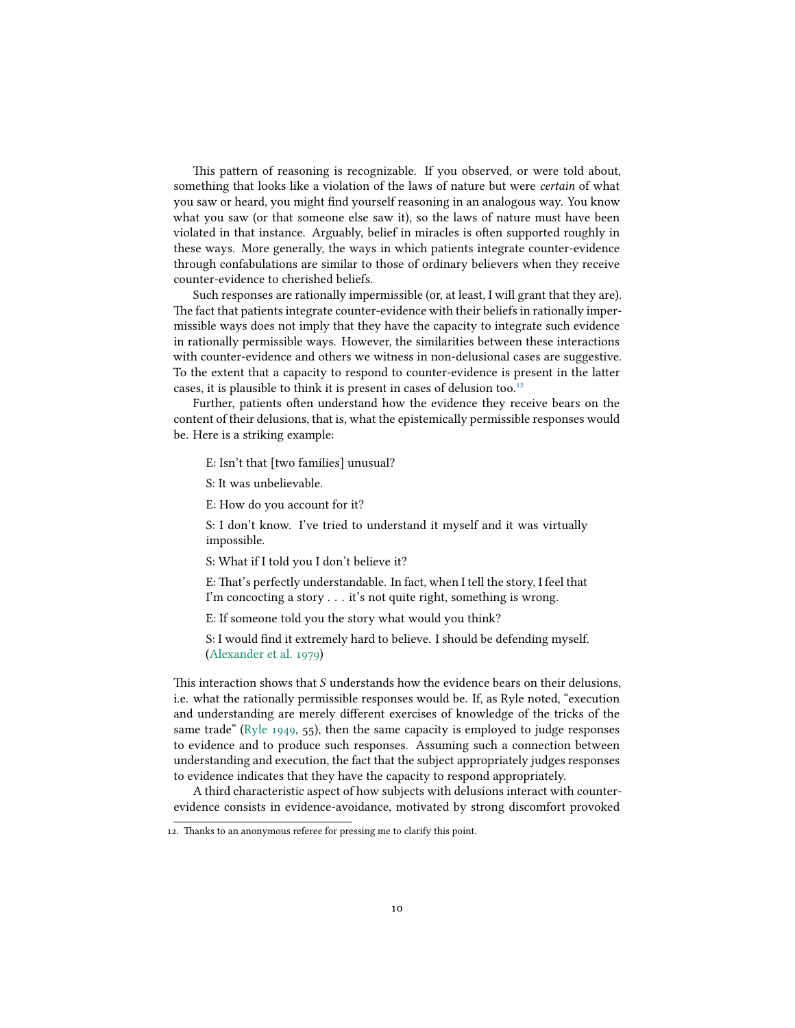This pattern of reasoning is recognizable. If you observed, or were told about, something that looks like a violation of the laws of nature but were *certain* of what you saw or heard, you might find yourself reasoning in an analogous way. You know what you saw (or that someone else saw it), so the laws of nature must have been violated in that instance. Arguably, belief in miracles is often supported roughly in these ways. More generally, the ways in which patients integrate counter-evidence through confabulations are similar to those of ordinary believers when they receive counter-evidence to cherished beliefs.

Such responses are rationally impermissible (or, at least, I will grant that they are). The fact that patients integrate counter-evidence with their beliefs in rationally impermissible ways does not imply that they have the capacity to integrate such evidence in rationally permissible ways. However, the similarities between these interactions with counter-evidence and others we witness in non-delusional cases are suggestive. To the extent that a capacity to respond to counter-evidence is present in the latter cases, it is plausible to think it is present in cases of delusion too.<sup>12</sup>

Further, patients often understand how the evidence they receive bears on the content of their delusions, that is, what the epistemically permissible responses would be. Here is a striking example:

E: Isn't that [two families] unusual?

S: It was unbelievable.

E: How do you account for it?

S: I don't know. I've tried to understand it myself and it was virtually impossible.

S: What if I told you I don't believe it?

E: That's perfectly understandable. In fact, when I tell the story, I feel that I'm concocting a story . . . it's not quite right, something is wrong.

E: If someone told you the story what would you think?

S: I would find it extremely hard to believe. I should be defending myself. [\(Alexander et al.](#page-27-3) [1979](#page-27-3))

This interaction shows that  $S$  understands how the evidence bears on their delusions, i.e. what the rationally permissible responses would be. If, as Ryle noted, "execution and understanding are merely different exercises of knowledge of the tricks of the same trade"([Ryle](#page-33-8) [1949,](#page-33-8) 55), then the same capacity is employed to judge responses to evidence and to produce such responses. Assuming such a connection between understanding and execution, the fact that the subject appropriately judges responses to evidence indicates that they have the capacity to respond appropriately.

A third characteristic aspect of how subjects with delusions interact with counterevidence consists in evidence-avoidance, motivated by strong discomfort provoked

<sup>12.</sup> Thanks to an anonymous referee for pressing me to clarify this point.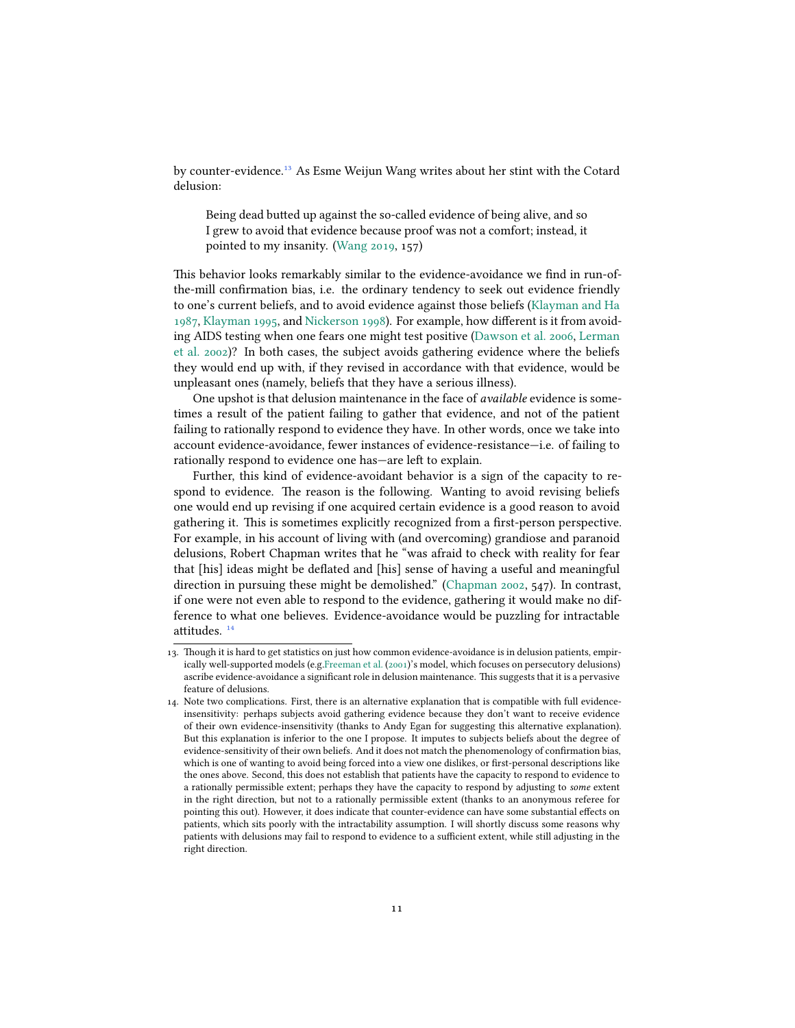by counter-evidence.<sup>13</sup> As Esme Weijun Wang writes about her stint with the Cotard delusion:

Being dead butted up against the so-called evidence of being alive, and so I grew to avoid that evidence because proof was not a comfort; instead, it pointed to my insanity. [\(Wang](#page-34-0) [2019](#page-34-0), 157)

This behavior looks remarkably similar to the evidence-avoidance we find in run-ofthe-mill confirmation bias, i.e. the ordinary tendency to seek out evidence friendly to one's current beliefs, and to avoid evidence against those beliefs [\(Klayman and Ha](#page-31-3) [1987](#page-31-3), [Klayman](#page-31-4) [1995,](#page-31-4) and [Nickerson](#page-32-2) [1998](#page-32-2)). For example, how different is it from avoiding AIDS testing when one fears one might test positive([Dawson et al.](#page-29-7) [2006,](#page-29-7) [Lerman](#page-31-5) [et al.](#page-31-5) [2002\)](#page-31-5)? In both cases, the subject avoids gathering evidence where the beliefs they would end up with, if they revised in accordance with that evidence, would be unpleasant ones (namely, beliefs that they have a serious illness).

One upshot is that delusion maintenance in the face of *available* evidence is sometimes a result of the patient failing to gather that evidence, and not of the patient failing to rationally respond to evidence they have. In other words, once we take into account evidence-avoidance, fewer instances of evidence-resistance—i.e. of failing to rationally respond to evidence one has—are left to explain.

Further, this kind of evidence-avoidant behavior is a sign of the capacity to respond to evidence. The reason is the following. Wanting to avoid revising beliefs one would end up revising if one acquired certain evidence is a good reason to avoid gathering it. This is sometimes explicitly recognized from a first-person perspective. For example, in his account of living with (and overcoming) grandiose and paranoid delusions, Robert Chapman writes that he "was afraid to check with reality for fear that [his] ideas might be deflated and [his] sense of having a useful and meaningful direction in pursuing these might be demolished."([Chapman](#page-28-6) [2002](#page-28-6), 547). In contrast, if one were not even able to respond to the evidence, gathering it would make no difference to what one believes. Evidence-avoidance would be puzzling for intractable attitudes.  $14$ 

<sup>13.</sup> Though it is hard to get statistics on just how common evidence-avoidance is in delusion patients, empirically well-supported models (e.g.[Freeman et al.](#page-30-5) [\(2001](#page-30-5))'s model, which focuses on persecutory delusions) ascribe evidence-avoidance a significant role in delusion maintenance. This suggests that it is a pervasive feature of delusions.

<sup>14.</sup> Note two complications. First, there is an alternative explanation that is compatible with full evidenceinsensitivity: perhaps subjects avoid gathering evidence because they don't want to receive evidence of their own evidence-insensitivity (thanks to Andy Egan for suggesting this alternative explanation). But this explanation is inferior to the one I propose. It imputes to subjects beliefs about the degree of evidence-sensitivity of their own beliefs. And it does not match the phenomenology of confirmation bias, which is one of wanting to avoid being forced into a view one dislikes, or first-personal descriptions like the ones above. Second, this does not establish that patients have the capacity to respond to evidence to a rationally permissible extent; perhaps they have the capacity to respond by adjusting to *some* extent in the right direction, but not to a rationally permissible extent (thanks to an anonymous referee for pointing this out). However, it does indicate that counter-evidence can have some substantial effects on patients, which sits poorly with the intractability assumption. I will shortly discuss some reasons why patients with delusions may fail to respond to evidence to a sufficient extent, while still adjusting in the right direction.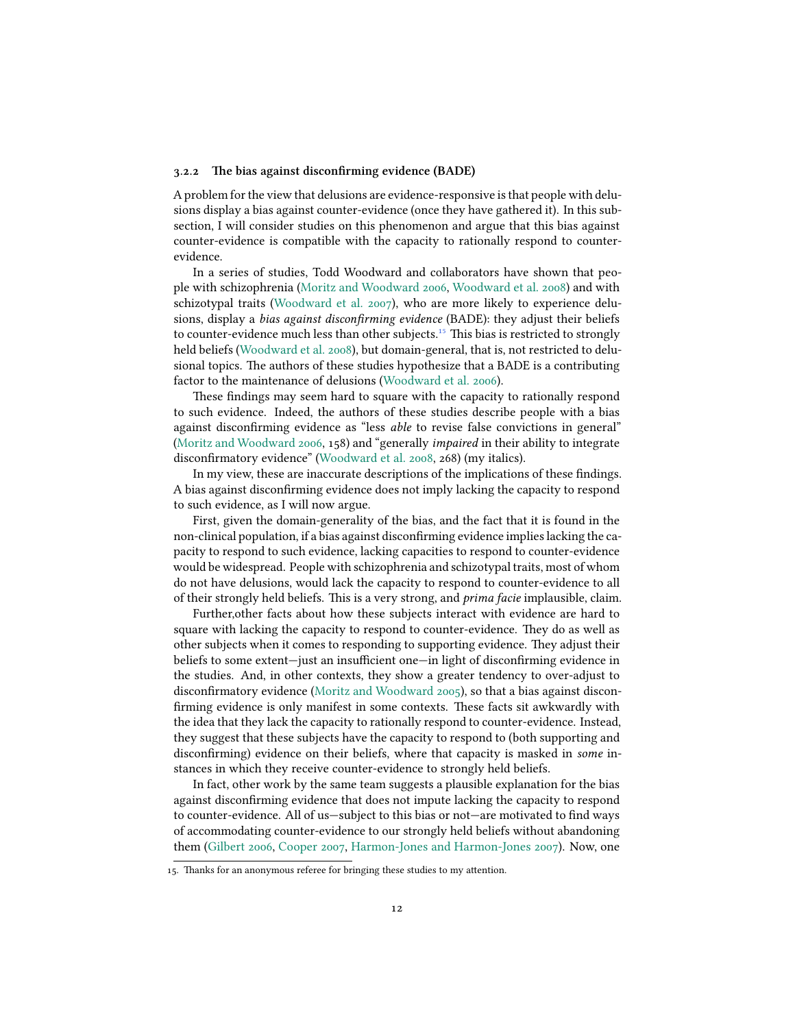#### **3.2.2 The bias against disconfirming evidence (BADE)**

A problem for the view that delusions are evidence-responsive is that people with delusions display a bias against counter-evidence (once they have gathered it). In this subsection, I will consider studies on this phenomenon and argue that this bias against counter-evidence is compatible with the capacity to rationally respond to counterevidence.

In a series of studies, Todd Woodward and collaborators have shown that people with schizophrenia([Moritz and Woodward](#page-32-3) [2006](#page-32-3), [Woodward et al.](#page-34-7) [2008](#page-34-7)) and with schizotypal traits [\(Woodward et al.](#page-34-8) [2007\)](#page-34-8), who are more likely to experience delusions, display a *bias against disconfirming evidence* (BADE): they adjust their beliefs to counter-evidence much less than other subjects.<sup>15</sup> This bias is restricted to strongly held beliefs([Woodward et al.](#page-34-7) [2008](#page-34-7)), but domain-general, that is, not restricted to delusional topics. The authors of these studies hypothesize that a BADE is a contributing factor to the maintenance of delusions [\(Woodward et al.](#page-34-9) [2006\)](#page-34-9).

These findings may seem hard to square with the capacity to rationally respond to such evidence. Indeed, the authors of these studies describe people with a bias against disconfirming evidence as "less *able* to revise false convictions in general" [\(Moritz and Woodward](#page-32-3) [2006](#page-32-3), 158) and "generally *impaired* in their ability to integrate disconfirmatory evidence" [\(Woodward et al.](#page-34-7) [2008,](#page-34-7) 268) (my italics).

In my view, these are inaccurate descriptions of the implications of these findings. A bias against disconfirming evidence does not imply lacking the capacity to respond to such evidence, as I will now argue.

First, given the domain-generality of the bias, and the fact that it is found in the non-clinical population, if a bias against disconfirming evidence implies lacking the capacity to respond to such evidence, lacking capacities to respond to counter-evidence would be widespread. People with schizophrenia and schizotypal traits, most of whom do not have delusions, would lack the capacity to respond to counter-evidence to all of their strongly held beliefs. This is a very strong, and *prima facie* implausible, claim.

Further,other facts about how these subjects interact with evidence are hard to square with lacking the capacity to respond to counter-evidence. They do as well as other subjects when it comes to responding to supporting evidence. They adjust their beliefs to some extent—just an insufficient one—in light of disconfirming evidence in the studies. And, in other contexts, they show a greater tendency to over-adjust to disconfirmatory evidence [\(Moritz and Woodward](#page-32-4) [2005\)](#page-32-4), so that a bias against disconfirming evidence is only manifest in some contexts. These facts sit awkwardly with the idea that they lack the capacity to rationally respond to counter-evidence. Instead, they suggest that these subjects have the capacity to respond to (both supporting and disconfirming) evidence on their beliefs, where that capacity is masked in *some* instances in which they receive counter-evidence to strongly held beliefs.

In fact, other work by the same team suggests a plausible explanation for the bias against disconfirming evidence that does not impute lacking the capacity to respond to counter-evidence. All of us—subject to this bias or not—are motivated to find ways of accommodating counter-evidence to our strongly held beliefs without abandoning them [\(Gilbert](#page-30-6) [2006,](#page-30-6) [Cooper](#page-28-7) [2007,](#page-28-7) [Harmon-Jones and Harmon-Jones](#page-30-7) [2007](#page-30-7)). Now, one

<sup>15.</sup> Thanks for an anonymous referee for bringing these studies to my attention.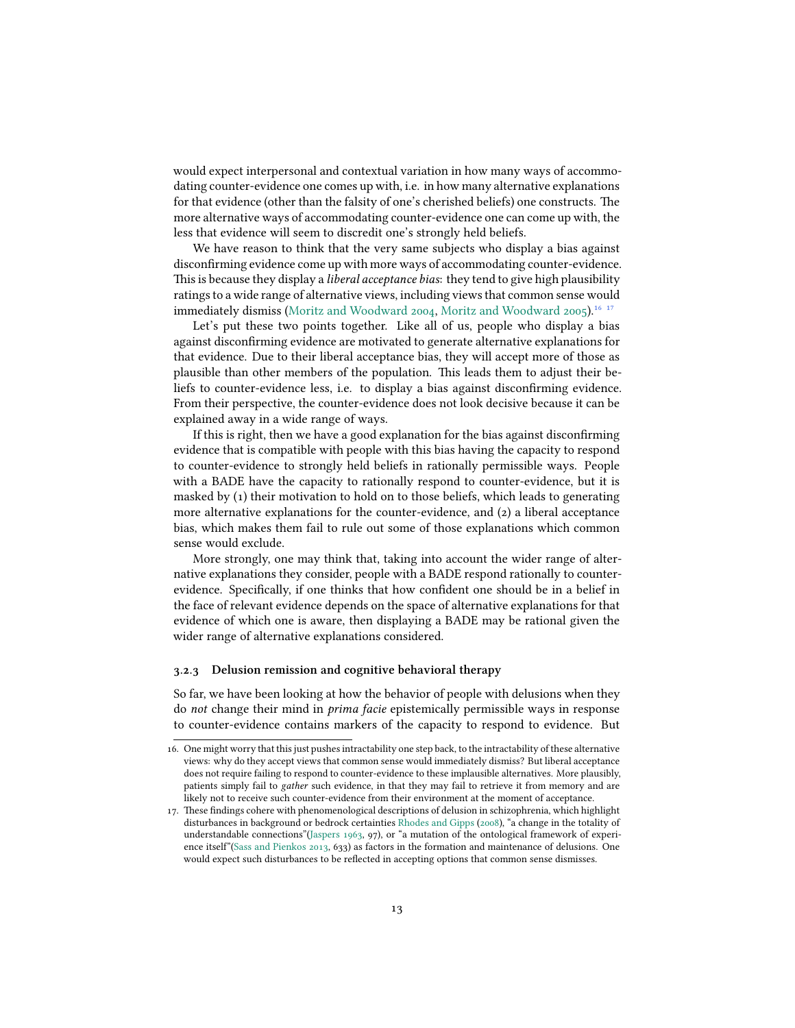would expect interpersonal and contextual variation in how many ways of accommodating counter-evidence one comes up with, i.e. in how many alternative explanations for that evidence (other than the falsity of one's cherished beliefs) one constructs. The more alternative ways of accommodating counter-evidence one can come up with, the less that evidence will seem to discredit one's strongly held beliefs.

We have reason to think that the very same subjects who display a bias against disconfirming evidence come up with more ways of accommodating counter-evidence. This is because they display a *liberal acceptance bias*: they tend to give high plausibility ratings to a wide range of alternative views, including views that common sense would immediately dismiss [\(Moritz and Woodward](#page-32-5) [2004](#page-32-5), [Moritz and Woodward](#page-32-4) [2005](#page-32-4)).<sup>16-17</sup>

Let's put these two points together. Like all of us, people who display a bias against disconfirming evidence are motivated to generate alternative explanations for that evidence. Due to their liberal acceptance bias, they will accept more of those as plausible than other members of the population. This leads them to adjust their beliefs to counter-evidence less, i.e. to display a bias against disconfirming evidence. From their perspective, the counter-evidence does not look decisive because it can be explained away in a wide range of ways.

If this is right, then we have a good explanation for the bias against disconfirming evidence that is compatible with people with this bias having the capacity to respond to counter-evidence to strongly held beliefs in rationally permissible ways. People with a BADE have the capacity to rationally respond to counter-evidence, but it is masked by (1) their motivation to hold on to those beliefs, which leads to generating more alternative explanations for the counter-evidence, and (2) a liberal acceptance bias, which makes them fail to rule out some of those explanations which common sense would exclude.

More strongly, one may think that, taking into account the wider range of alternative explanations they consider, people with a BADE respond rationally to counterevidence. Specifically, if one thinks that how confident one should be in a belief in the face of relevant evidence depends on the space of alternative explanations for that evidence of which one is aware, then displaying a BADE may be rational given the wider range of alternative explanations considered.

#### **3.2.3 Delusion remission and cognitive behavioral therapy**

So far, we have been looking at how the behavior of people with delusions when they do *not* change their mind in *prima facie* epistemically permissible ways in response to counter-evidence contains markers of the capacity to respond to evidence. But

<sup>16.</sup> One might worry that this just pushes intractability one step back, to the intractability of these alternative views: why do they accept views that common sense would immediately dismiss? But liberal acceptance does not require failing to respond to counter-evidence to these implausible alternatives. More plausibly, patients simply fail to *gather* such evidence, in that they may fail to retrieve it from memory and are likely not to receive such counter-evidence from their environment at the moment of acceptance.

<sup>17.</sup> These findings cohere with phenomenological descriptions of delusion in schizophrenia, which highlight disturbances in background or bedrock certainties [Rhodes and Gipps](#page-33-9) ([2008\)](#page-33-9), "a change in the totality of understandable connections"([Jaspers](#page-31-6) [1963](#page-31-6), 97), or "a mutation of the ontological framework of experience itself"[\(Sass and Pienkos](#page-33-5) [2013,](#page-33-5) 633) as factors in the formation and maintenance of delusions. One would expect such disturbances to be reflected in accepting options that common sense dismisses.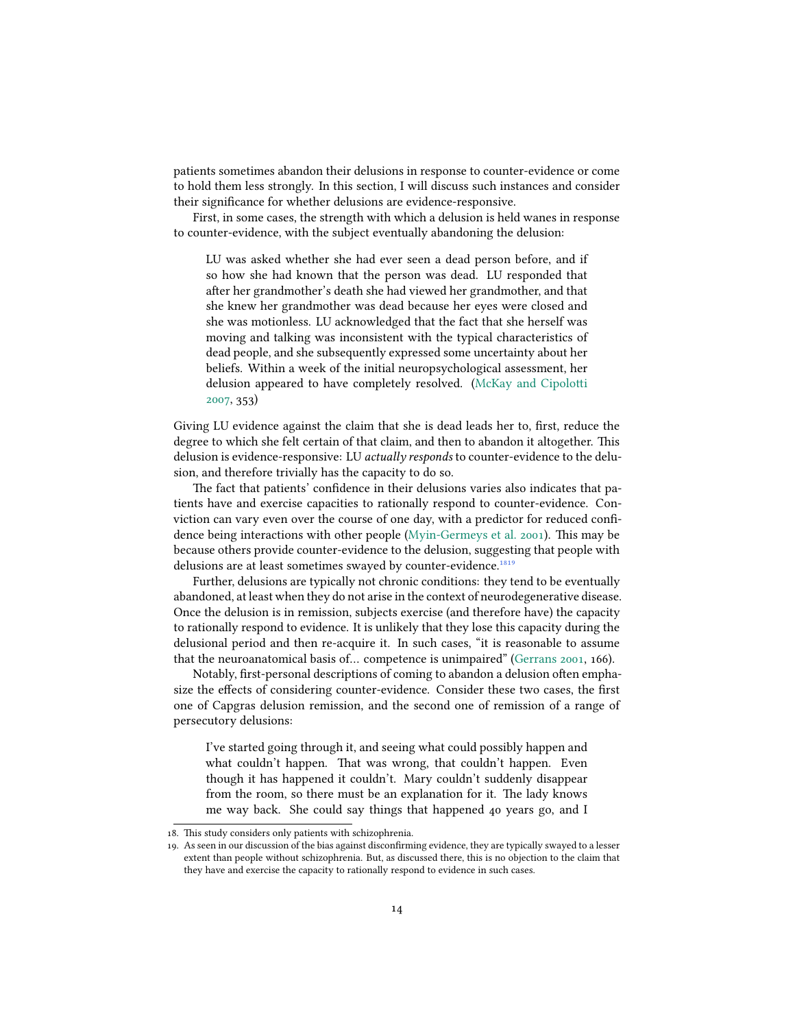patients sometimes abandon their delusions in response to counter-evidence or come to hold them less strongly. In this section, I will discuss such instances and consider their significance for whether delusions are evidence-responsive.

First, in some cases, the strength with which a delusion is held wanes in response to counter-evidence, with the subject eventually abandoning the delusion:

LU was asked whether she had ever seen a dead person before, and if so how she had known that the person was dead. LU responded that after her grandmother's death she had viewed her grandmother, and that she knew her grandmother was dead because her eyes were closed and she was motionless. LU acknowledged that the fact that she herself was moving and talking was inconsistent with the typical characteristics of dead people, and she subsequently expressed some uncertainty about her beliefs. Within a week of the initial neuropsychological assessment, her delusion appeared to have completely resolved. [\(McKay and Cipolotti](#page-32-6) [2007](#page-32-6), 353)

Giving LU evidence against the claim that she is dead leads her to, first, reduce the degree to which she felt certain of that claim, and then to abandon it altogether. This delusion is evidence-responsive: LU *actually responds* to counter-evidence to the delusion, and therefore trivially has the capacity to do so.

The fact that patients' confidence in their delusions varies also indicates that patients have and exercise capacities to rationally respond to counter-evidence. Conviction can vary even over the course of one day, with a predictor for reduced confidence being interactions with other people([Myin-Germeys et al.](#page-32-7) [2001](#page-32-7)). This may be because others provide counter-evidence to the delusion, suggesting that people with delusions are at least sometimes swayed by counter-evidence.<sup>1819</sup>

Further, delusions are typically not chronic conditions: they tend to be eventually abandoned, at least when they do not arise in the context of neurodegenerative disease. Once the delusion is in remission, subjects exercise (and therefore have) the capacity to rationally respond to evidence. It is unlikely that they lose this capacity during the delusional period and then re-acquire it. In such cases, "it is reasonable to assume that the neuroanatomical basis of… competence is unimpaired" [\(Gerrans](#page-30-2) [2001,](#page-30-2) 166).

Notably, first-personal descriptions of coming to abandon a delusion often emphasize the effects of considering counter-evidence. Consider these two cases, the first one of Capgras delusion remission, and the second one of remission of a range of persecutory delusions:

I've started going through it, and seeing what could possibly happen and what couldn't happen. That was wrong, that couldn't happen. Even though it has happened it couldn't. Mary couldn't suddenly disappear from the room, so there must be an explanation for it. The lady knows me way back. She could say things that happened 40 years go, and I

<sup>18.</sup> This study considers only patients with schizophrenia.

<sup>19.</sup> As seen in our discussion of the bias against disconfirming evidence, they are typically swayed to a lesser extent than people without schizophrenia. But, as discussed there, this is no objection to the claim that they have and exercise the capacity to rationally respond to evidence in such cases.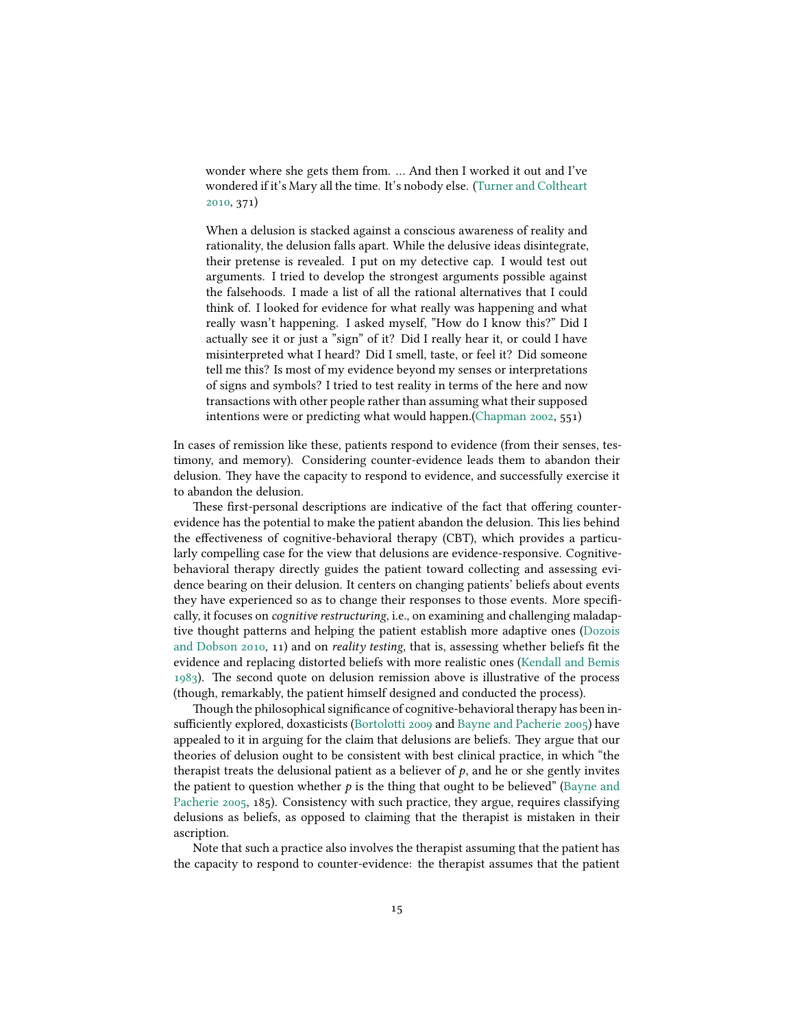wonder where she gets them from. … And then I worked it out and I've wondered if it's Mary all the time. It's nobody else. [\(Turner and Coltheart](#page-34-10) [2010](#page-34-10), 371)

When a delusion is stacked against a conscious awareness of reality and rationality, the delusion falls apart. While the delusive ideas disintegrate, their pretense is revealed. I put on my detective cap. I would test out arguments. I tried to develop the strongest arguments possible against the falsehoods. I made a list of all the rational alternatives that I could think of. I looked for evidence for what really was happening and what really wasn't happening. I asked myself, "How do I know this?" Did I actually see it or just a "sign" of it? Did I really hear it, or could I have misinterpreted what I heard? Did I smell, taste, or feel it? Did someone tell me this? Is most of my evidence beyond my senses or interpretations of signs and symbols? I tried to test reality in terms of the here and now transactions with other people rather than assuming what their supposed intentions were or predicting what would happen.[\(Chapman](#page-28-6) [2002,](#page-28-6) 551)

In cases of remission like these, patients respond to evidence (from their senses, testimony, and memory). Considering counter-evidence leads them to abandon their delusion. They have the capacity to respond to evidence, and successfully exercise it to abandon the delusion.

These first-personal descriptions are indicative of the fact that offering counterevidence has the potential to make the patient abandon the delusion. This lies behind the effectiveness of cognitive-behavioral therapy (CBT), which provides a particularly compelling case for the view that delusions are evidence-responsive. Cognitivebehavioral therapy directly guides the patient toward collecting and assessing evidence bearing on their delusion. It centers on changing patients' beliefs about events they have experienced so as to change their responses to those events. More specifically, it focuses on *cognitive restructuring*, i.e., on examining and challenging maladaptive thought patterns and helping the patient establish more adaptive ones([Dozois](#page-29-8) [and Dobson](#page-29-8) [2010](#page-29-8), 11) and on *reality testing*, that is, assessing whether beliefs fit the evidence and replacing distorted beliefs with more realistic ones([Kendall and Bemis](#page-31-7) [1983](#page-31-7)). The second quote on delusion remission above is illustrative of the process (though, remarkably, the patient himself designed and conducted the process).

Though the philosophical significance of cognitive-behavioral therapy has been insufficiently explored, doxasticists [\(Bortolotti](#page-27-7) [2009](#page-27-7) and [Bayne and Pacherie](#page-27-8) [2005](#page-27-8)) have appealed to it in arguing for the claim that delusions are beliefs. They argue that our theories of delusion ought to be consistent with best clinical practice, in which "the therapist treats the delusional patient as a believer of  $p$ , and he or she gently invites the patient to question whether  $p$  is the thing that ought to be believed" [\(Bayne and](#page-27-8) [Pacherie](#page-27-8) [2005,](#page-27-8) 185). Consistency with such practice, they argue, requires classifying delusions as beliefs, as opposed to claiming that the therapist is mistaken in their ascription.

Note that such a practice also involves the therapist assuming that the patient has the capacity to respond to counter-evidence: the therapist assumes that the patient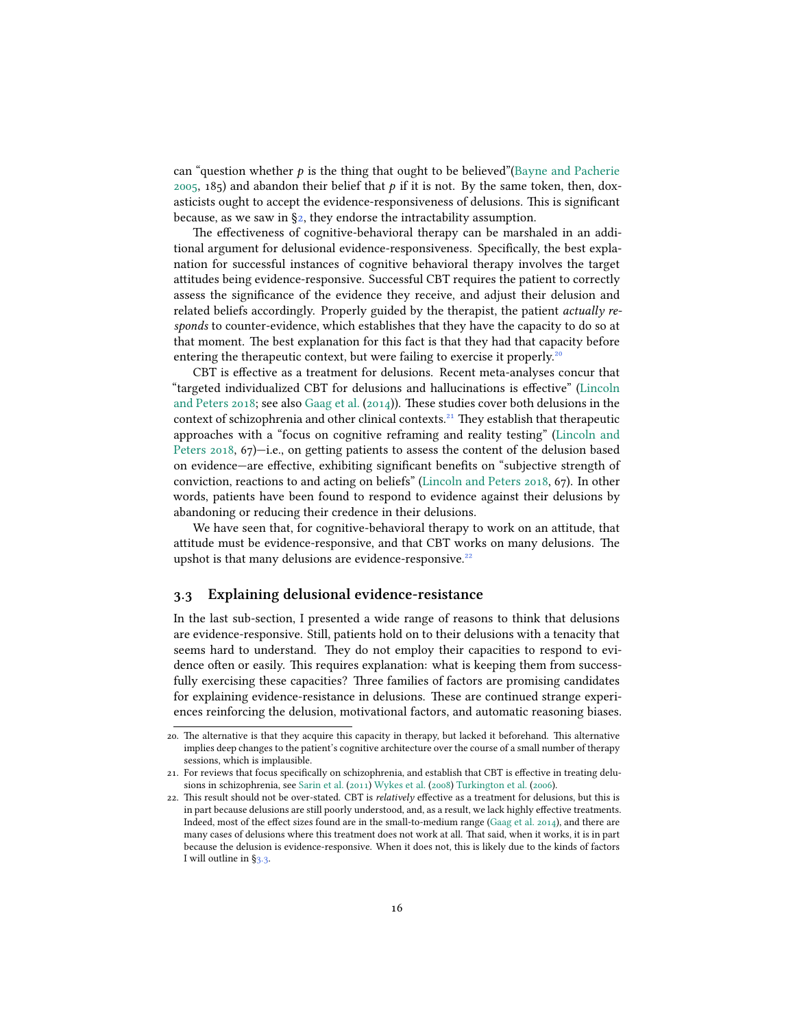can "question whether  $p$  is the thing that ought to be believed"[\(Bayne and Pacherie](#page-27-8) [2005](#page-27-8), 185) and abandon their belief that  $p$  if it is not. By the same token, then, doxasticists ought to accept the evidence-responsiveness of delusions. This is significant because, as we saw in  $\S$ 2, they endorse the intractability assumption.

The effectiveness of cognitive-behavioral therapy can be marshaled in an additional argument for delusional evidence-responsiveness. Specifically, the best explanation for successful instances of cognitive behavioral therapy involves the target attitudes being evidence-responsive. Successful CBT requires the patient to correctly assess the significance of the evidence they receive, and adjust their delusion and related beliefs accordingly. Properly guided by the therapist, the patient *actually responds* to counter-evidence, which establishes that they have the capacity to do so at that moment. The best explanation for this fact is that they had that capacity before entering the therapeutic context, but were failing to exercise it properly.<sup>2</sup>

CBT is effective as a treatment for delusions. Recent meta-analyses concur that "targeted individualized CBT for delusions and hallucinations is effective"([Lincoln](#page-31-8) [and Peters](#page-31-8) [2018;](#page-31-8) see also [Gaag et al.](#page-30-8) [\(2014\)](#page-30-8)). These studies cover both delusions in the context of schizophrenia and other clinical contexts.<sup>21</sup> They establish that therapeutic approaches with a "focus on cognitive reframing and reality testing" [\(Lincoln and](#page-31-8) [Peters](#page-31-8) [2018](#page-31-8), 67)-i.e., on getting patients to assess the content of the delusion based on evidence—are effective, exhibiting significant benefits on "subjective strength of conviction, reactions to and acting on beliefs" [\(Lincoln and Peters](#page-31-8) [2018](#page-31-8), 67). In other words, patients have been found to respond to evidence against their delusions by abandoning or reducing their credence in their delusions.

We have seen that, for cognitive-behavioral therapy to work on an attitude, that attitude must be evidence-responsive, and that CBT works on many delusions. The upshot is that many delusions are evidence-responsive.<sup>22</sup>

### <span id="page-15-0"></span>**3.3 Explaining delusional evidence-resistance**

In the last sub-section, I presented a wide range of reasons to think that delusions are evidence-responsive. Still, patients hold on to their delusions with a tenacity that seems hard to understand. They do not employ their capacities to respond to evidence often or easily. This requires explanation: what is keeping them from successfully exercising these capacities? Three families of factors are promising candidates for explaining evidence-resistance in delusions. These are continued strange experiences reinforcing the delusion, motivational factors, and automatic reasoning biases.

<sup>20.</sup> The alternative is that they acquire this capacity in therapy, but lacked it beforehand. This alternative implies deep changes to the patient's cognitive architecture over the course of a small number of therapy sessions, which is implausible.

<sup>21.</sup> For reviews that focus specifically on schizophrenia, and establish that CBT is effective in treating delusions in schizophrenia, see [Sarin et al.](#page-33-10) [\(2011](#page-33-10)) [Wykes et al.](#page-34-11) [\(2008](#page-34-11)) [Turkington et al.](#page-33-11) ([2006](#page-33-11)).

<sup>22.</sup> This result should not be over-stated. CBT is *relatively* effective as a treatment for delusions, but this is in part because delusions are still poorly understood, and, as a result, we lack highly effective treatments. Indeed, most of the effect sizes found are in the small-to-medium range([Gaag et al.](#page-30-8) [2014\)](#page-30-8), and there are many cases of delusions where this treatment does not work at all. That said, when it works, it is in part because the delusion is evidence-responsive. When it does not, this is likely due to the kinds of factors I will outline in §[3.3.](#page-15-0)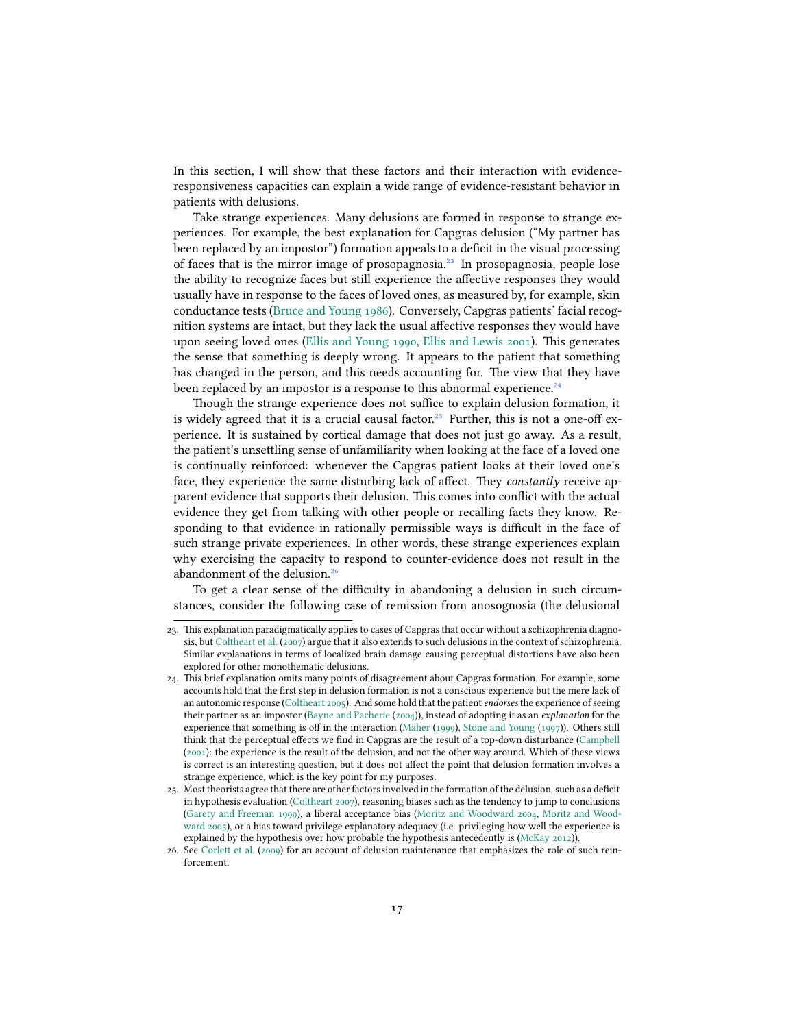In this section, I will show that these factors and their interaction with evidenceresponsiveness capacities can explain a wide range of evidence-resistant behavior in patients with delusions.

Take strange experiences. Many delusions are formed in response to strange experiences. For example, the best explanation for Capgras delusion ("My partner has been replaced by an impostor") formation appeals to a deficit in the visual processing of faces that is the mirror image of prosopagnosia.<sup>23</sup> In prosopagnosia, people lose the ability to recognize faces but still experience the affective responses they would usually have in response to the faces of loved ones, as measured by, for example, skin conductance tests [\(Bruce and Young](#page-28-8) [1986](#page-28-8)). Conversely, Capgras patients' facial recognition systems are intact, but they lack the usual affective responses they would have upon seeing loved ones([Ellis and Young](#page-29-9) [1990,](#page-29-9) [Ellis and Lewis](#page-29-5) [2001](#page-29-5)). This generates the sense that something is deeply wrong. It appears to the patient that something has changed in the person, and this needs accounting for. The view that they have been replaced by an impostor is a response to this abnormal experience.<sup>24</sup>

Though the strange experience does not suffice to explain delusion formation, it is widely agreed that it is a crucial causal factor.<sup>25</sup> Further, this is not a one-off experience. It is sustained by cortical damage that does not just go away. As a result, the patient's unsettling sense of unfamiliarity when looking at the face of a loved one is continually reinforced: whenever the Capgras patient looks at their loved one's face, they experience the same disturbing lack of affect. They *constantly* receive apparent evidence that supports their delusion. This comes into conflict with the actual evidence they get from talking with other people or recalling facts they know. Responding to that evidence in rationally permissible ways is difficult in the face of such strange private experiences. In other words, these strange experiences explain why exercising the capacity to respond to counter-evidence does not result in the abandonment of the delusion.<sup>26</sup>

To get a clear sense of the difficulty in abandoning a delusion in such circumstances, consider the following case of remission from anosognosia (the delusional

<sup>23.</sup> This explanation paradigmatically applies to cases of Capgras that occur without a schizophrenia diagnosis, but [Coltheart et al.](#page-28-9) [\(2007\)](#page-28-9) argue that it also extends to such delusions in the context of schizophrenia. Similar explanations in terms of localized brain damage causing perceptual distortions have also been explored for other monothematic delusions.

<sup>24.</sup> This brief explanation omits many points of disagreement about Capgras formation. For example, some accounts hold that the first step in delusion formation is not a conscious experience but the mere lack of an autonomic response([Coltheart](#page-28-10) [2005](#page-28-10)). And some hold that the patient *endorses* the experience of seeing their partner as an impostor([Bayne and Pacherie](#page-27-12) ([2004\)](#page-27-12)), instead of adopting it as an *explanation* for the experience that something is off in the interaction [\(Maher](#page-31-9) ([1999\)](#page-31-9), [Stone and Young](#page-33-12) ([1997\)](#page-33-12)). Others still think that the perceptual effects we find in Capgras are the result of a top-down disturbance [\(Campbell](#page-28-11) ([2001\)](#page-28-11): the experience is the result of the delusion, and not the other way around. Which of these views is correct is an interesting question, but it does not affect the point that delusion formation involves a strange experience, which is the key point for my purposes.

<sup>25.</sup> Most theorists agree that there are other factors involved in the formation of the delusion, such as a deficit in hypothesis evaluation([Coltheart](#page-28-2) [2007](#page-28-2)), reasoning biases such as the tendency to jump to conclusions ([Garety and Freeman](#page-30-9) [1999\)](#page-30-9), a liberal acceptance bias [\(Moritz and Woodward](#page-32-5) [2004](#page-32-5), [Moritz and Wood](#page-32-4)[ward](#page-32-4) [2005\)](#page-32-4), or a bias toward privilege explanatory adequacy (i.e. privileging how well the experience is explained by the hypothesis over how probable the hypothesis antecedently is([McKay](#page-31-10) [2012](#page-31-10))).

<sup>26.</sup> See [Corlett et al.](#page-28-12) [\(2009\)](#page-28-12) for an account of delusion maintenance that emphasizes the role of such reinforcement.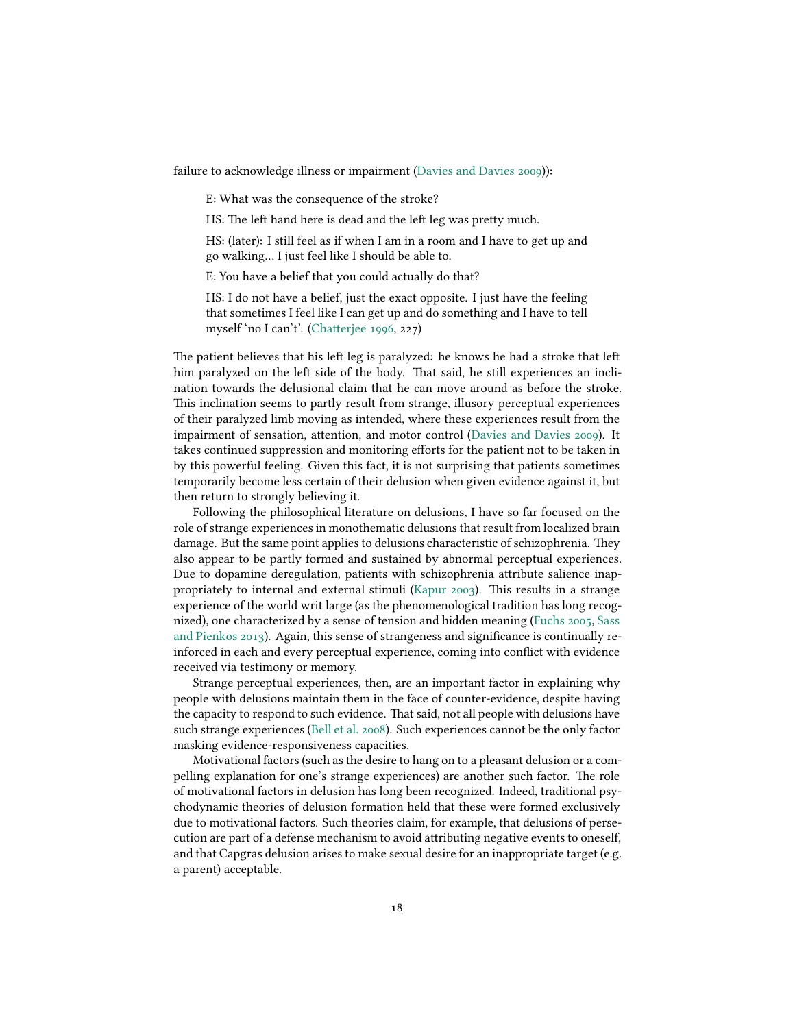failure to acknowledge illness or impairment [\(Davies and Davies](#page-29-10) [2009](#page-29-10))):

E: What was the consequence of the stroke?

HS: The left hand here is dead and the left leg was pretty much.

HS: (later): I still feel as if when I am in a room and I have to get up and go walking… I just feel like I should be able to.

E: You have a belief that you could actually do that?

HS: I do not have a belief, just the exact opposite. I just have the feeling that sometimes I feel like I can get up and do something and I have to tell myself 'no I can't'.([Chatterjee](#page-28-13) [1996](#page-28-13), 227)

The patient believes that his left leg is paralyzed: he knows he had a stroke that left him paralyzed on the left side of the body. That said, he still experiences an inclination towards the delusional claim that he can move around as before the stroke. This inclination seems to partly result from strange, illusory perceptual experiences of their paralyzed limb moving as intended, where these experiences result from the impairment of sensation, attention, and motor control [\(Davies and Davies](#page-29-10) [2009](#page-29-10)). It takes continued suppression and monitoring efforts for the patient not to be taken in by this powerful feeling. Given this fact, it is not surprising that patients sometimes temporarily become less certain of their delusion when given evidence against it, but then return to strongly believing it.

Following the philosophical literature on delusions, I have so far focused on the role of strange experiences in monothematic delusions that result from localized brain damage. But the same point applies to delusions characteristic of schizophrenia. They also appear to be partly formed and sustained by abnormal perceptual experiences. Due to dopamine deregulation, patients with schizophrenia attribute salience inappropriately to internal and external stimuli [\(Kapur](#page-31-11) [2003\)](#page-31-11). This results in a strange experience of the world writ large (as the phenomenological tradition has long recognized), one characterized by a sense of tension and hidden meaning [\(Fuchs](#page-30-10) [2005,](#page-30-10) [Sass](#page-33-5) [and Pienkos](#page-33-5) [2013\)](#page-33-5). Again, this sense of strangeness and significance is continually reinforced in each and every perceptual experience, coming into conflict with evidence received via testimony or memory.

Strange perceptual experiences, then, are an important factor in explaining why people with delusions maintain them in the face of counter-evidence, despite having the capacity to respond to such evidence. That said, not all people with delusions have such strange experiences([Bell et al.](#page-27-11) [2008](#page-27-11)). Such experiences cannot be the only factor masking evidence-responsiveness capacities.

Motivational factors (such as the desire to hang on to a pleasant delusion or a compelling explanation for one's strange experiences) are another such factor. The role of motivational factors in delusion has long been recognized. Indeed, traditional psychodynamic theories of delusion formation held that these were formed exclusively due to motivational factors. Such theories claim, for example, that delusions of persecution are part of a defense mechanism to avoid attributing negative events to oneself, and that Capgras delusion arises to make sexual desire for an inappropriate target (e.g. a parent) acceptable.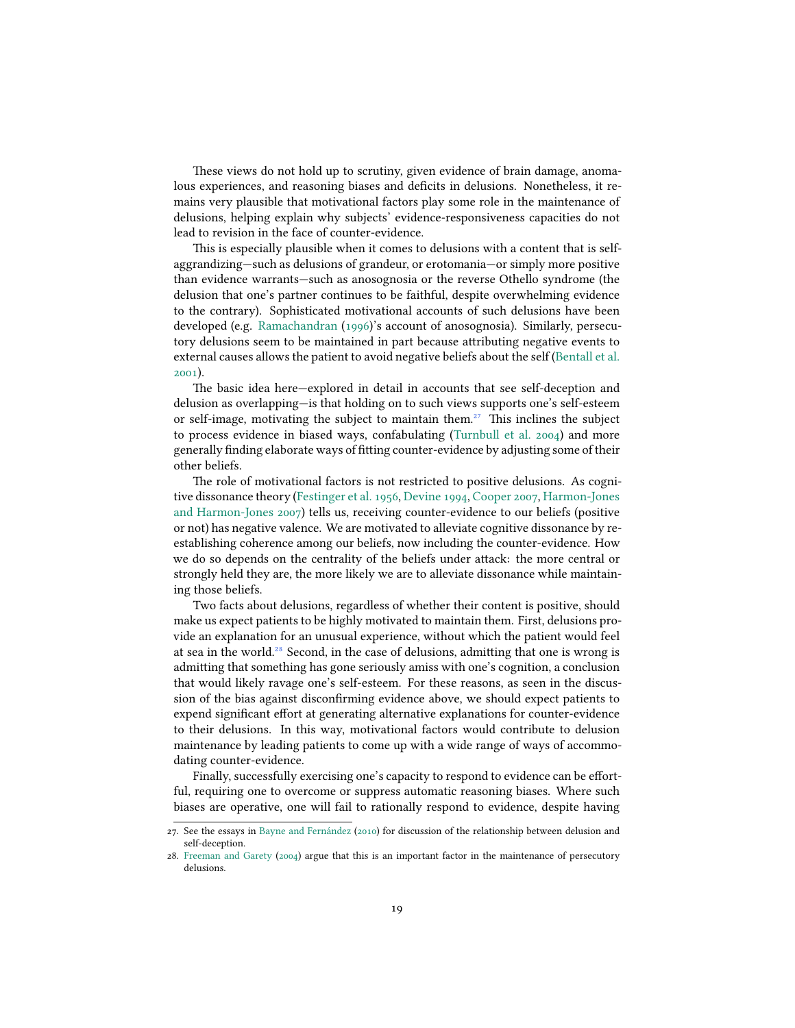These views do not hold up to scrutiny, given evidence of brain damage, anomalous experiences, and reasoning biases and deficits in delusions. Nonetheless, it remains very plausible that motivational factors play some role in the maintenance of delusions, helping explain why subjects' evidence-responsiveness capacities do not lead to revision in the face of counter-evidence.

This is especially plausible when it comes to delusions with a content that is selfaggrandizing—such as delusions of grandeur, or erotomania—or simply more positive than evidence warrants—such as anosognosia or the reverse Othello syndrome (the delusion that one's partner continues to be faithful, despite overwhelming evidence to the contrary). Sophisticated motivational accounts of such delusions have been developed (e.g. [Ramachandran](#page-32-8) [\(1996\)](#page-32-8)'s account of anosognosia). Similarly, persecutory delusions seem to be maintained in part because attributing negative events to external causes allows the patient to avoid negative beliefs about the self([Bentall et al.](#page-27-13) [2001](#page-27-13)).

The basic idea here—explored in detail in accounts that see self-deception and delusion as overlapping—is that holding on to such views supports one's self-esteem or self-image, motivating the subject to maintain them. $27$  This inclines the subject to process evidence in biased ways, confabulating [\(Turnbull et al.](#page-33-13) [2004](#page-33-13)) and more generally finding elaborate ways of fitting counter-evidence by adjusting some of their other beliefs.

The role of motivational factors is not restricted to positive delusions. As cognitive dissonance theory([Festinger et al.](#page-29-11) [1956,](#page-29-11) [Devine](#page-29-12) [1994](#page-29-12), [Cooper](#page-28-7) [2007](#page-28-7), [Harmon-Jones](#page-30-7) [and Harmon-Jones](#page-30-7) [2007](#page-30-7)) tells us, receiving counter-evidence to our beliefs (positive or not) has negative valence. We are motivated to alleviate cognitive dissonance by reestablishing coherence among our beliefs, now including the counter-evidence. How we do so depends on the centrality of the beliefs under attack: the more central or strongly held they are, the more likely we are to alleviate dissonance while maintaining those beliefs.

Two facts about delusions, regardless of whether their content is positive, should make us expect patients to be highly motivated to maintain them. First, delusions provide an explanation for an unusual experience, without which the patient would feel at sea in the world.<sup>28</sup> Second, in the case of delusions, admitting that one is wrong is admitting that something has gone seriously amiss with one's cognition, a conclusion that would likely ravage one's self-esteem. For these reasons, as seen in the discussion of the bias against disconfirming evidence above, we should expect patients to expend significant effort at generating alternative explanations for counter-evidence to their delusions. In this way, motivational factors would contribute to delusion maintenance by leading patients to come up with a wide range of ways of accommodating counter-evidence.

Finally, successfully exercising one's capacity to respond to evidence can be effortful, requiring one to overcome or suppress automatic reasoning biases. Where such biases are operative, one will fail to rationally respond to evidence, despite having

<sup>27.</sup> See the essays in [Bayne and Fernández](#page-27-14) [\(2010](#page-27-14)) for discussion of the relationship between delusion and self-deception.

<sup>28.</sup> [Freeman and Garety](#page-30-11) ([2004\)](#page-30-11) argue that this is an important factor in the maintenance of persecutory delusions.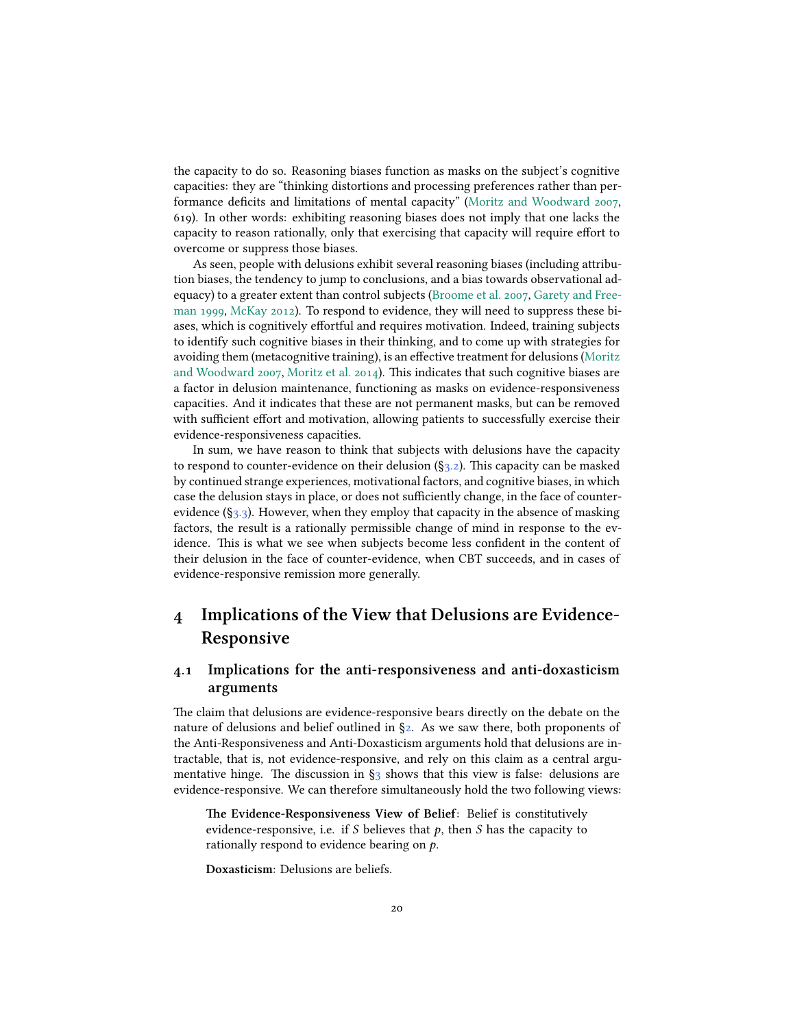the capacity to do so. Reasoning biases function as masks on the subject's cognitive capacities: they are "thinking distortions and processing preferences rather than performance deficits and limitations of mental capacity"([Moritz and Woodward](#page-32-9) [2007](#page-32-9), 619). In other words: exhibiting reasoning biases does not imply that one lacks the capacity to reason rationally, only that exercising that capacity will require effort to overcome or suppress those biases.

As seen, people with delusions exhibit several reasoning biases (including attribution biases, the tendency to jump to conclusions, and a bias towards observational adequacy) to a greater extent than control subjects([Broome et al.](#page-28-14) [2007,](#page-28-14) [Garety and Free](#page-30-9)[man](#page-30-9) [1999,](#page-30-9) [McKay](#page-31-10) [2012](#page-31-10)). To respond to evidence, they will need to suppress these biases, which is cognitively effortful and requires motivation. Indeed, training subjects to identify such cognitive biases in their thinking, and to come up with strategies for avoiding them (metacognitive training), is an effective treatment for delusions [\(Moritz](#page-32-9) [and Woodward](#page-32-9) [2007,](#page-32-9) [Moritz et al.](#page-32-10) [2014](#page-32-10)). This indicates that such cognitive biases are a factor in delusion maintenance, functioning as masks on evidence-responsiveness capacities. And it indicates that these are not permanent masks, but can be removed with sufficient effort and motivation, allowing patients to successfully exercise their evidence-responsiveness capacities.

In sum, we have reason to think that subjects with delusions have the capacity to respond to counter-evidence on their delusion  $(\S_3, z)$ . This capacity can be masked by continued strange experiences, motivational factors, and cognitive biases, in which case the delusion stays in place, or does not sufficiently change, in the face of counterevidence  $(\S_3, \S_3)$ . However, when they employ that capacity in the absence of masking factors, the result is a rationally permissible change of mind in response to the evidence. This is what we see when subjects become less confident in the content of their delusion in the face of counter-evidence, when CBT succeeds, and in cases of evidence-responsive remission more generally.

# **4 Implications of the View that Delusions are Evidence-Responsive**

## <span id="page-19-0"></span>**4.1 Implications for the anti-responsiveness and anti-doxasticism arguments**

The claim that delusions are evidence-responsive bears directly on the debate on the nature of delusions and belief outlined in [§2.](#page-1-0) As we saw there, both proponents of the Anti-Responsiveness and Anti-Doxasticism arguments hold that delusions are intractable, that is, not evidence-responsive, and rely on this claim as a central argumentativehinge. The discussion in  $\S_3$  $\S_3$  shows that this view is false: delusions are evidence-responsive. We can therefore simultaneously hold the two following views:

**The Evidence-Responsiveness View of Belief**: Belief is constitutively evidence-responsive, i.e. if  $S$  believes that  $p$ , then  $S$  has the capacity to rationally respond to evidence bearing on  $p$ .

**Doxasticism**: Delusions are beliefs.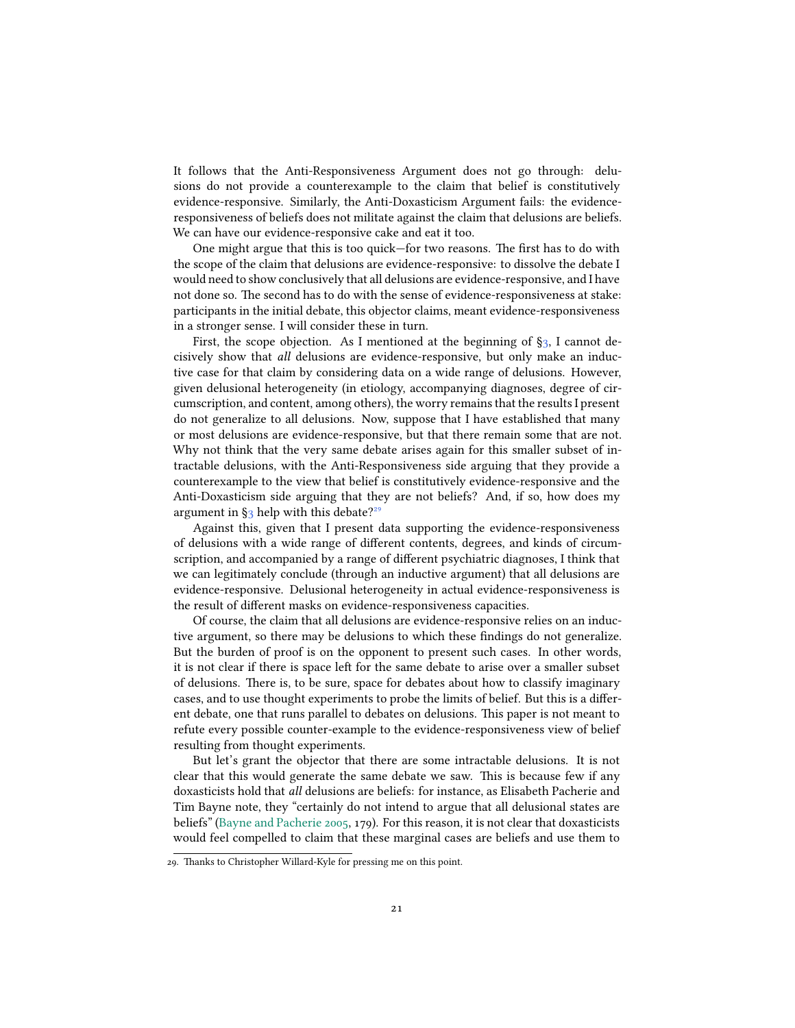It follows that the Anti-Responsiveness Argument does not go through: delusions do not provide a counterexample to the claim that belief is constitutively evidence-responsive. Similarly, the Anti-Doxasticism Argument fails: the evidenceresponsiveness of beliefs does not militate against the claim that delusions are beliefs. We can have our evidence-responsive cake and eat it too.

One might argue that this is too quick—for two reasons. The first has to do with the scope of the claim that delusions are evidence-responsive: to dissolve the debate I would need to show conclusively that all delusions are evidence-responsive, and I have not done so. The second has to do with the sense of evidence-responsiveness at stake: participants in the initial debate, this objector claims, meant evidence-responsiveness in a stronger sense. I will consider these in turn.

First, the scope objection. As I mentioned at the beginning of  $\S$ <sub>3</sub>, I cannot decisively show that *all* delusions are evidence-responsive, but only make an inductive case for that claim by considering data on a wide range of delusions. However, given delusional heterogeneity (in etiology, accompanying diagnoses, degree of circumscription, and content, among others), the worry remains that the results I present do not generalize to all delusions. Now, suppose that I have established that many or most delusions are evidence-responsive, but that there remain some that are not. Why not think that the very same debate arises again for this smaller subset of intractable delusions, with the Anti-Responsiveness side arguing that they provide a counterexample to the view that belief is constitutively evidence-responsive and the Anti-Doxasticism side arguing that they are not beliefs? And, if so, how does my argumentin  $\S_3$  $\S_3$  help with this debate?<sup>29</sup>

Against this, given that I present data supporting the evidence-responsiveness of delusions with a wide range of different contents, degrees, and kinds of circumscription, and accompanied by a range of different psychiatric diagnoses, I think that we can legitimately conclude (through an inductive argument) that all delusions are evidence-responsive. Delusional heterogeneity in actual evidence-responsiveness is the result of different masks on evidence-responsiveness capacities.

Of course, the claim that all delusions are evidence-responsive relies on an inductive argument, so there may be delusions to which these findings do not generalize. But the burden of proof is on the opponent to present such cases. In other words, it is not clear if there is space left for the same debate to arise over a smaller subset of delusions. There is, to be sure, space for debates about how to classify imaginary cases, and to use thought experiments to probe the limits of belief. But this is a different debate, one that runs parallel to debates on delusions. This paper is not meant to refute every possible counter-example to the evidence-responsiveness view of belief resulting from thought experiments.

But let's grant the objector that there are some intractable delusions. It is not clear that this would generate the same debate we saw. This is because few if any doxasticists hold that *all* delusions are beliefs: for instance, as Elisabeth Pacherie and Tim Bayne note, they "certainly do not intend to argue that all delusional states are beliefs"([Bayne and Pacherie](#page-27-8) [2005](#page-27-8), 179). For this reason, it is not clear that doxasticists would feel compelled to claim that these marginal cases are beliefs and use them to

<sup>29.</sup> Thanks to Christopher Willard-Kyle for pressing me on this point.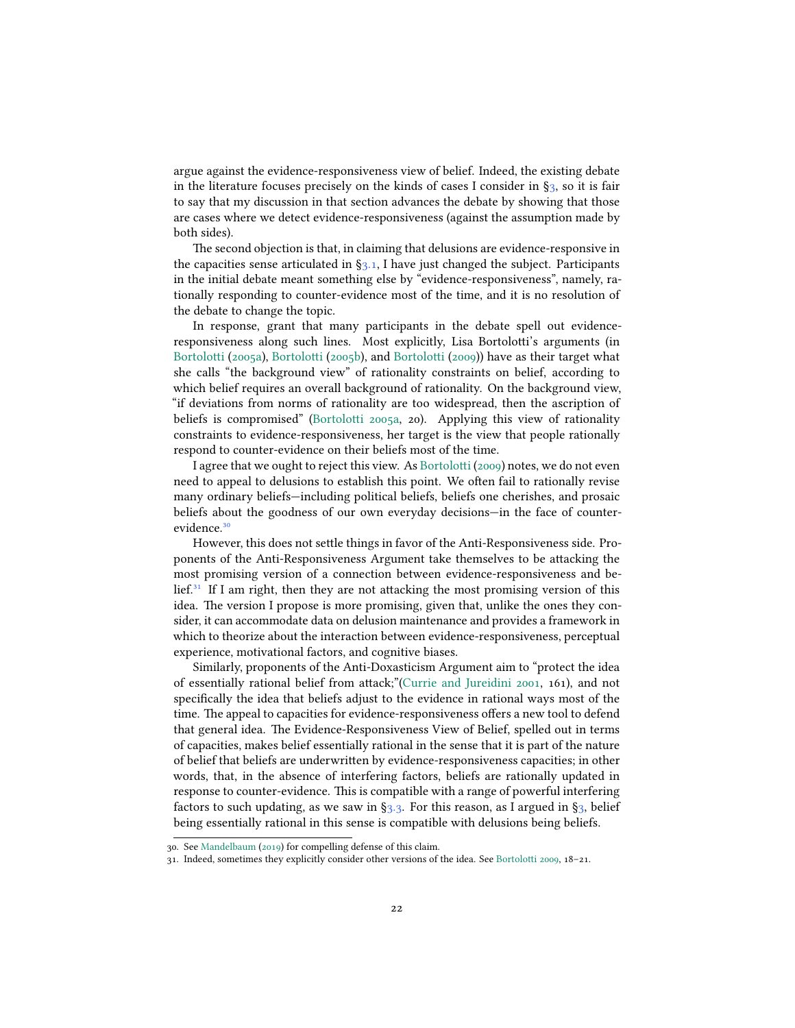argue against the evidence-responsiveness view of belief. Indeed, the existing debate in the literature focuses precisely on the kinds of cases I consider in  $\S_3$ , so it is fair to say that my discussion in that section advances the debate by showing that those are cases where we detect evidence-responsiveness (against the assumption made by both sides).

The second objection is that, in claiming that delusions are evidence-responsive in thecapacities sense articulated in  $\S_3, 1$ , I have just changed the subject. Participants in the initial debate meant something else by "evidence-responsiveness", namely, rationally responding to counter-evidence most of the time, and it is no resolution of the debate to change the topic.

In response, grant that many participants in the debate spell out evidenceresponsiveness along such lines. Most explicitly, Lisa Bortolotti's arguments (in [Bortolotti](#page-27-5) ([2005a\)](#page-27-5), [Bortolotti](#page-27-6) [\(2005b\)](#page-27-6), and [Bortolotti](#page-27-7) [\(2009\)](#page-27-7)) have as their target what she calls "the background view" of rationality constraints on belief, according to which belief requires an overall background of rationality. On the background view, "if deviations from norms of rationality are too widespread, then the ascription of beliefs is compromised"([Bortolotti](#page-27-5) [2005a,](#page-27-5) 20). Applying this view of rationality constraints to evidence-responsiveness, her target is the view that people rationally respond to counter-evidence on their beliefs most of the time.

I agree that we ought to reject this view. As [Bortolotti](#page-27-7) ([2009](#page-27-7)) notes, we do not even need to appeal to delusions to establish this point. We often fail to rationally revise many ordinary beliefs—including political beliefs, beliefs one cherishes, and prosaic beliefs about the goodness of our own everyday decisions—in the face of counterevidence.<sup>30</sup>

However, this does not settle things in favor of the Anti-Responsiveness side. Proponents of the Anti-Responsiveness Argument take themselves to be attacking the most promising version of a connection between evidence-responsiveness and be- $\text{left.}^{31}$  If I am right, then they are not attacking the most promising version of this idea. The version I propose is more promising, given that, unlike the ones they consider, it can accommodate data on delusion maintenance and provides a framework in which to theorize about the interaction between evidence-responsiveness, perceptual experience, motivational factors, and cognitive biases.

Similarly, proponents of the Anti-Doxasticism Argument aim to "protect the idea of essentially rational belief from attack;"[\(Currie and Jureidini](#page-29-13) [2001](#page-29-13), 161), and not specifically the idea that beliefs adjust to the evidence in rational ways most of the time. The appeal to capacities for evidence-responsiveness offers a new tool to defend that general idea. The Evidence-Responsiveness View of Belief, spelled out in terms of capacities, makes belief essentially rational in the sense that it is part of the nature of belief that beliefs are underwritten by evidence-responsiveness capacities; in other words, that, in the absence of interfering factors, beliefs are rationally updated in response to counter-evidence. This is compatible with a range of powerful interfering factors to such updating, as we saw in  $\S$ 3.3. For this reason, as I argued in  $\S$ 3, belief being essentially rational in this sense is compatible with delusions being beliefs.

<sup>30.</sup> See [Mandelbaum](#page-31-12) ([2019](#page-31-12)) for compelling defense of this claim.

<sup>31.</sup> Indeed, sometimes they explicitly consider other versions of the idea. See [Bortolotti](#page-27-7) [2009,](#page-27-7) 18–21.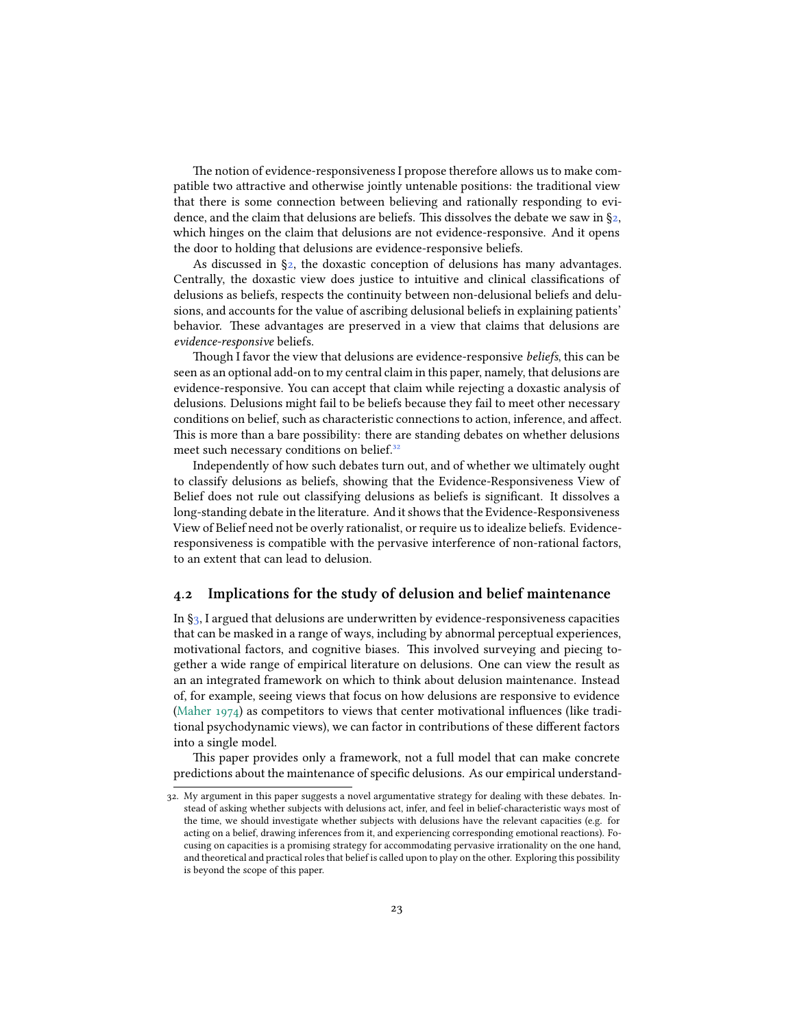The notion of evidence-responsiveness I propose therefore allows us to make compatible two attractive and otherwise jointly untenable positions: the traditional view that there is some connection between believing and rationally responding to evidence,and the claim that delusions are beliefs. This dissolves the debate we saw in  $\S_2$  $\S_2$ , which hinges on the claim that delusions are not evidence-responsive. And it opens the door to holding that delusions are evidence-responsive beliefs.

As discussed in [§2](#page-1-0), the doxastic conception of delusions has many advantages. Centrally, the doxastic view does justice to intuitive and clinical classifications of delusions as beliefs, respects the continuity between non-delusional beliefs and delusions, and accounts for the value of ascribing delusional beliefs in explaining patients' behavior. These advantages are preserved in a view that claims that delusions are *evidence-responsive* beliefs.

Though I favor the view that delusions are evidence-responsive *beliefs*, this can be seen as an optional add-on to my central claim in this paper, namely, that delusions are evidence-responsive. You can accept that claim while rejecting a doxastic analysis of delusions. Delusions might fail to be beliefs because they fail to meet other necessary conditions on belief, such as characteristic connections to action, inference, and affect. This is more than a bare possibility: there are standing debates on whether delusions meet such necessary conditions on belief.<sup>32</sup>

Independently of how such debates turn out, and of whether we ultimately ought to classify delusions as beliefs, showing that the Evidence-Responsiveness View of Belief does not rule out classifying delusions as beliefs is significant. It dissolves a long-standing debate in the literature. And it shows that the Evidence-Responsiveness View of Belief need not be overly rationalist, or require us to idealize beliefs. Evidenceresponsiveness is compatible with the pervasive interference of non-rational factors, to an extent that can lead to delusion.

## **4.2 Implications for the study of delusion and belief maintenance**

In [§3,](#page-4-0) I argued that delusions are underwritten by evidence-responsiveness capacities that can be masked in a range of ways, including by abnormal perceptual experiences, motivational factors, and cognitive biases. This involved surveying and piecing together a wide range of empirical literature on delusions. One can view the result as an an integrated framework on which to think about delusion maintenance. Instead of, for example, seeing views that focus on how delusions are responsive to evidence [\(Maher](#page-31-13) [1974](#page-31-13)) as competitors to views that center motivational influences (like traditional psychodynamic views), we can factor in contributions of these different factors into a single model.

This paper provides only a framework, not a full model that can make concrete predictions about the maintenance of specific delusions. As our empirical understand-

<sup>32.</sup> My argument in this paper suggests a novel argumentative strategy for dealing with these debates. Instead of asking whether subjects with delusions act, infer, and feel in belief-characteristic ways most of the time, we should investigate whether subjects with delusions have the relevant capacities (e.g. for acting on a belief, drawing inferences from it, and experiencing corresponding emotional reactions). Focusing on capacities is a promising strategy for accommodating pervasive irrationality on the one hand, and theoretical and practical roles that belief is called upon to play on the other. Exploring this possibility is beyond the scope of this paper.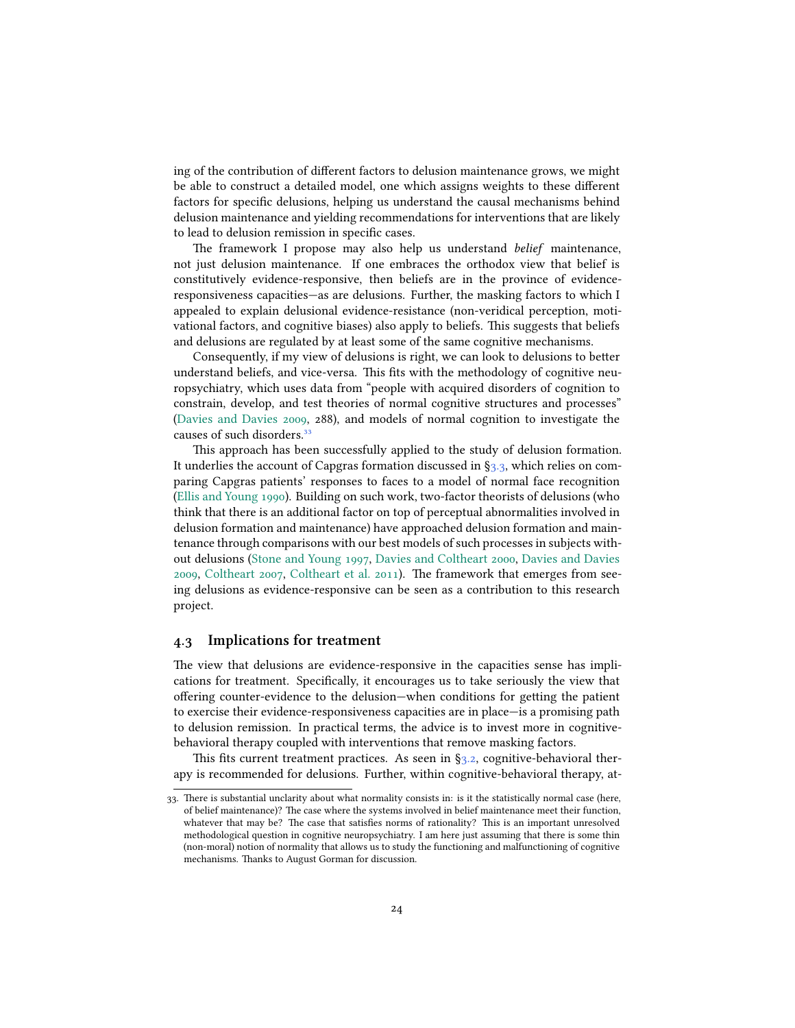ing of the contribution of different factors to delusion maintenance grows, we might be able to construct a detailed model, one which assigns weights to these different factors for specific delusions, helping us understand the causal mechanisms behind delusion maintenance and yielding recommendations for interventions that are likely to lead to delusion remission in specific cases.

The framework I propose may also help us understand *belief* maintenance, not just delusion maintenance. If one embraces the orthodox view that belief is constitutively evidence-responsive, then beliefs are in the province of evidenceresponsiveness capacities—as are delusions. Further, the masking factors to which I appealed to explain delusional evidence-resistance (non-veridical perception, motivational factors, and cognitive biases) also apply to beliefs. This suggests that beliefs and delusions are regulated by at least some of the same cognitive mechanisms.

Consequently, if my view of delusions is right, we can look to delusions to better understand beliefs, and vice-versa. This fits with the methodology of cognitive neuropsychiatry, which uses data from "people with acquired disorders of cognition to constrain, develop, and test theories of normal cognitive structures and processes" [\(Davies and Davies](#page-29-10) [2009](#page-29-10), 288), and models of normal cognition to investigate the causes of such disorders.<sup>33</sup>

This approach has been successfully applied to the study of delusion formation. It underlies the account of Capgras formation discussed in§[3.3](#page-15-0), which relies on comparing Capgras patients' responses to faces to a model of normal face recognition [\(Ellis and Young](#page-29-9) [1990\)](#page-29-9). Building on such work, two-factor theorists of delusions (who think that there is an additional factor on top of perceptual abnormalities involved in delusion formation and maintenance) have approached delusion formation and maintenance through comparisons with our best models of such processes in subjects without delusions([Stone and Young](#page-33-12) [1997](#page-33-12), [Davies and Coltheart](#page-29-4) [2000,](#page-29-4) [Davies and Davies](#page-29-10) [2009](#page-29-10), [Coltheart](#page-28-2) [2007](#page-28-2), [Coltheart et al.](#page-28-15) [2011](#page-28-15)). The framework that emerges from seeing delusions as evidence-responsive can be seen as a contribution to this research project.

### **4.3 Implications for treatment**

The view that delusions are evidence-responsive in the capacities sense has implications for treatment. Specifically, it encourages us to take seriously the view that offering counter-evidence to the delusion—when conditions for getting the patient to exercise their evidence-responsiveness capacities are in place—is a promising path to delusion remission. In practical terms, the advice is to invest more in cognitivebehavioral therapy coupled with interventions that remove masking factors.

This fits current treatment practices. As seen in  $\S$ 3.2, cognitive-behavioral therapy is recommended for delusions. Further, within cognitive-behavioral therapy, at-

<sup>33.</sup> There is substantial unclarity about what normality consists in: is it the statistically normal case (here, of belief maintenance)? The case where the systems involved in belief maintenance meet their function, whatever that may be? The case that satisfies norms of rationality? This is an important unresolved methodological question in cognitive neuropsychiatry. I am here just assuming that there is some thin (non-moral) notion of normality that allows us to study the functioning and malfunctioning of cognitive mechanisms. Thanks to August Gorman for discussion.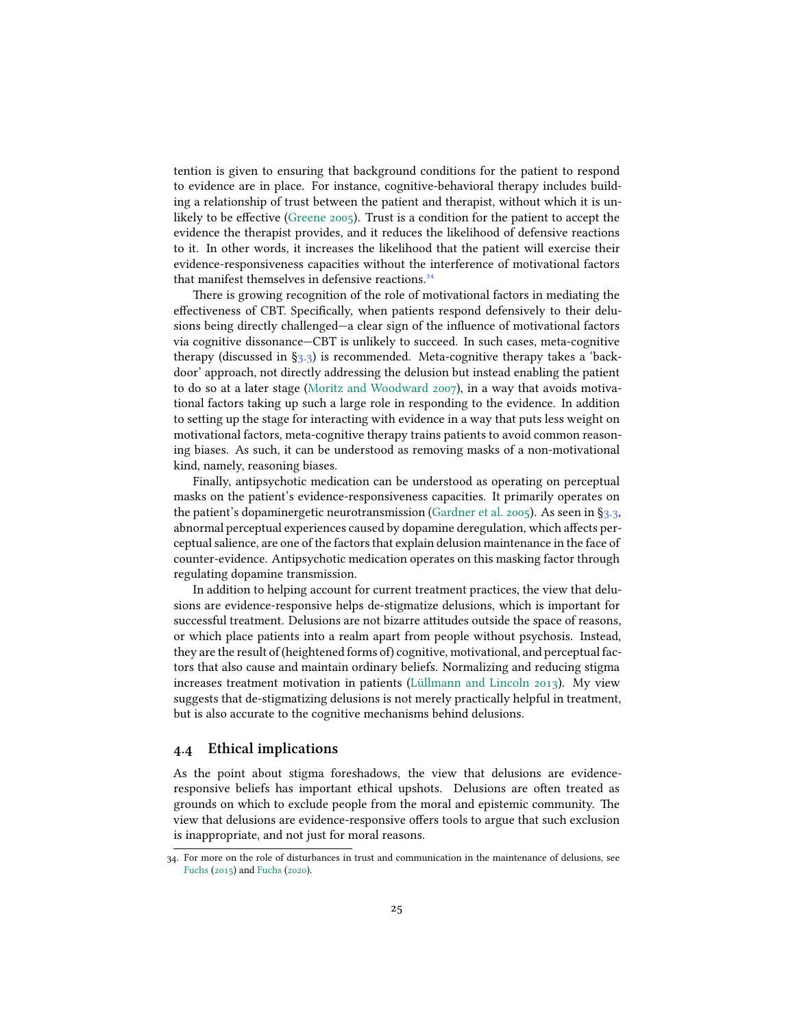tention is given to ensuring that background conditions for the patient to respond to evidence are in place. For instance, cognitive-behavioral therapy includes building a relationship of trust between the patient and therapist, without which it is unlikely to be effective([Greene](#page-30-12) [2005](#page-30-12)). Trust is a condition for the patient to accept the evidence the therapist provides, and it reduces the likelihood of defensive reactions to it. In other words, it increases the likelihood that the patient will exercise their evidence-responsiveness capacities without the interference of motivational factors that manifest themselves in defensive reactions.<sup>34</sup>

There is growing recognition of the role of motivational factors in mediating the effectiveness of CBT. Specifically, when patients respond defensively to their delusions being directly challenged—a clear sign of the influence of motivational factors via cognitive dissonance—CBT is unlikely to succeed. In such cases, meta-cognitive therapy (discussed in [§3.3\)](#page-15-0) is recommended. Meta-cognitive therapy takes a 'backdoor' approach, not directly addressing the delusion but instead enabling the patient to do so at a later stage [\(Moritz and Woodward](#page-32-9) [2007\)](#page-32-9), in a way that avoids motivational factors taking up such a large role in responding to the evidence. In addition to setting up the stage for interacting with evidence in a way that puts less weight on motivational factors, meta-cognitive therapy trains patients to avoid common reasoning biases. As such, it can be understood as removing masks of a non-motivational kind, namely, reasoning biases.

Finally, antipsychotic medication can be understood as operating on perceptual masks on the patient's evidence-responsiveness capacities. It primarily operates on the patient's dopaminergetic neurotransmission([Gardner et al.](#page-30-13) [2005](#page-30-13)). As seen in§[3.3](#page-15-0), abnormal perceptual experiences caused by dopamine deregulation, which affects perceptual salience, are one of the factors that explain delusion maintenance in the face of counter-evidence. Antipsychotic medication operates on this masking factor through regulating dopamine transmission.

In addition to helping account for current treatment practices, the view that delusions are evidence-responsive helps de-stigmatize delusions, which is important for successful treatment. Delusions are not bizarre attitudes outside the space of reasons, or which place patients into a realm apart from people without psychosis. Instead, they are the result of (heightened forms of) cognitive, motivational, and perceptual factors that also cause and maintain ordinary beliefs. Normalizing and reducing stigma increases treatment motivation in patients [\(Lüllmann and Lincoln](#page-31-14) [2013\)](#page-31-14). My view suggests that de-stigmatizing delusions is not merely practically helpful in treatment, but is also accurate to the cognitive mechanisms behind delusions.

## **4.4 Ethical implications**

As the point about stigma foreshadows, the view that delusions are evidenceresponsive beliefs has important ethical upshots. Delusions are often treated as grounds on which to exclude people from the moral and epistemic community. The view that delusions are evidence-responsive offers tools to argue that such exclusion is inappropriate, and not just for moral reasons.

<sup>34.</sup> For more on the role of disturbances in trust and communication in the maintenance of delusions, see [Fuchs](#page-30-14) [\(2015\)](#page-30-14) and [Fuchs](#page-30-15) [\(2020](#page-30-15)).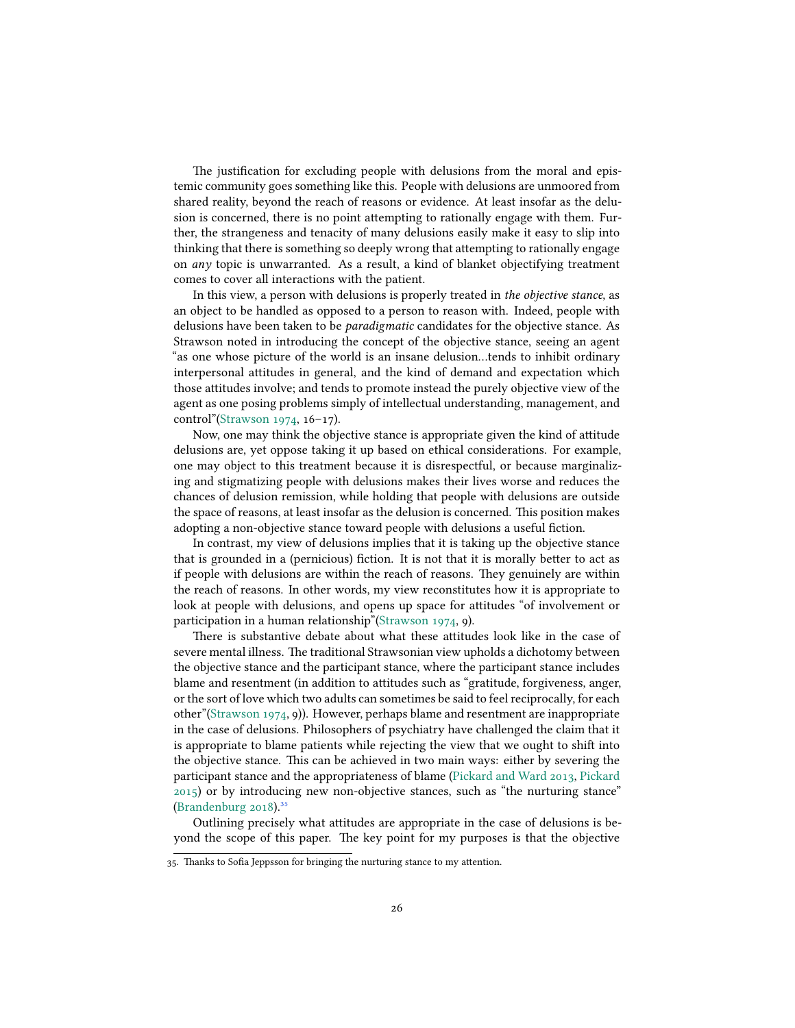The justification for excluding people with delusions from the moral and epistemic community goes something like this. People with delusions are unmoored from shared reality, beyond the reach of reasons or evidence. At least insofar as the delusion is concerned, there is no point attempting to rationally engage with them. Further, the strangeness and tenacity of many delusions easily make it easy to slip into thinking that there is something so deeply wrong that attempting to rationally engage on *any* topic is unwarranted. As a result, a kind of blanket objectifying treatment comes to cover all interactions with the patient.

In this view, a person with delusions is properly treated in *the objective stance*, as an object to be handled as opposed to a person to reason with. Indeed, people with delusions have been taken to be *paradigmatic* candidates for the objective stance. As Strawson noted in introducing the concept of the objective stance, seeing an agent "as one whose picture of the world is an insane delusion…tends to inhibit ordinary interpersonal attitudes in general, and the kind of demand and expectation which those attitudes involve; and tends to promote instead the purely objective view of the agent as one posing problems simply of intellectual understanding, management, and control"([Strawson](#page-33-14) [1974,](#page-33-14) 16–17).

Now, one may think the objective stance is appropriate given the kind of attitude delusions are, yet oppose taking it up based on ethical considerations. For example, one may object to this treatment because it is disrespectful, or because marginalizing and stigmatizing people with delusions makes their lives worse and reduces the chances of delusion remission, while holding that people with delusions are outside the space of reasons, at least insofar as the delusion is concerned. This position makes adopting a non-objective stance toward people with delusions a useful fiction.

In contrast, my view of delusions implies that it is taking up the objective stance that is grounded in a (pernicious) fiction. It is not that it is morally better to act as if people with delusions are within the reach of reasons. They genuinely are within the reach of reasons. In other words, my view reconstitutes how it is appropriate to look at people with delusions, and opens up space for attitudes "of involvement or participation in a human relationship"[\(Strawson](#page-33-14) [1974](#page-33-14), 9).

There is substantive debate about what these attitudes look like in the case of severe mental illness. The traditional Strawsonian view upholds a dichotomy between the objective stance and the participant stance, where the participant stance includes blame and resentment (in addition to attitudes such as "gratitude, forgiveness, anger, or the sort of love which two adults can sometimes be said to feel reciprocally, for each other"[\(Strawson](#page-33-14) [1974,](#page-33-14) 9)). However, perhaps blame and resentment are inappropriate in the case of delusions. Philosophers of psychiatry have challenged the claim that it is appropriate to blame patients while rejecting the view that we ought to shift into the objective stance. This can be achieved in two main ways: either by severing the participant stance and the appropriateness of blame([Pickard and Ward](#page-32-11) [2013](#page-32-11), [Pickard](#page-32-12) [2015](#page-32-12)) or by introducing new non-objective stances, such as "the nurturing stance" [\(Brandenburg](#page-28-16) [2018\)](#page-28-16). $35$ 

Outlining precisely what attitudes are appropriate in the case of delusions is beyond the scope of this paper. The key point for my purposes is that the objective

<sup>35.</sup> Thanks to Sofia Jeppsson for bringing the nurturing stance to my attention.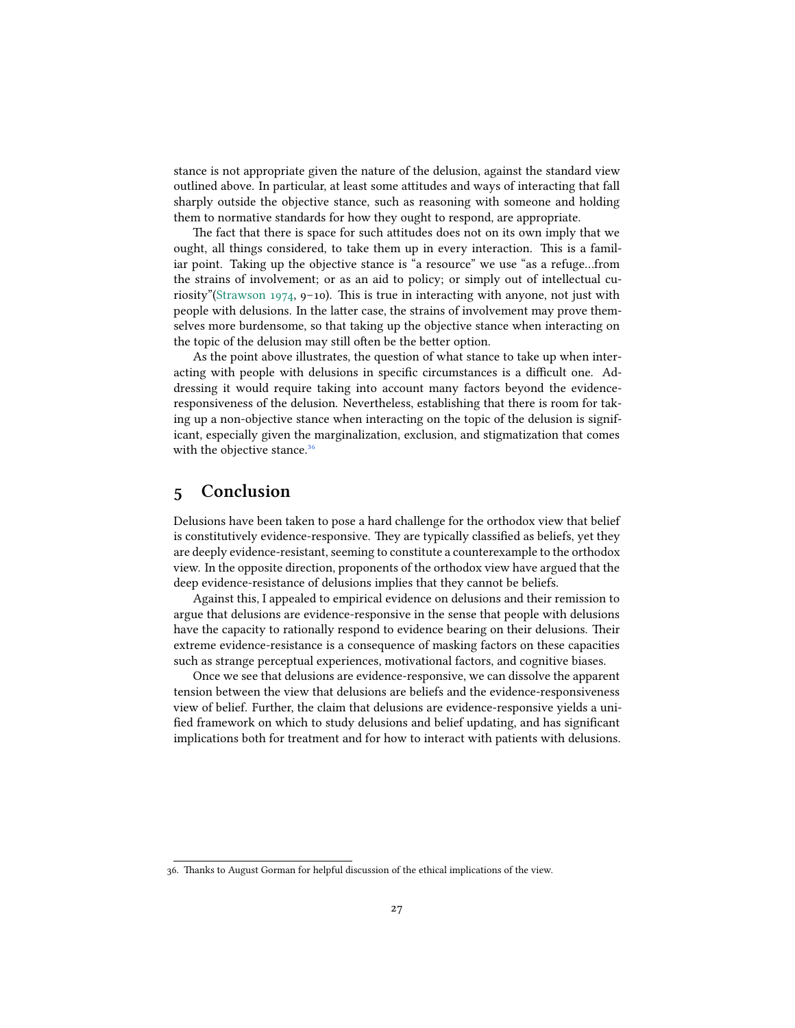stance is not appropriate given the nature of the delusion, against the standard view outlined above. In particular, at least some attitudes and ways of interacting that fall sharply outside the objective stance, such as reasoning with someone and holding them to normative standards for how they ought to respond, are appropriate.

The fact that there is space for such attitudes does not on its own imply that we ought, all things considered, to take them up in every interaction. This is a familiar point. Taking up the objective stance is "a resource" we use "as a refuge…from the strains of involvement; or as an aid to policy; or simply out of intellectual curiosity"([Strawson](#page-33-14) [1974](#page-33-14), 9–10). This is true in interacting with anyone, not just with people with delusions. In the latter case, the strains of involvement may prove themselves more burdensome, so that taking up the objective stance when interacting on the topic of the delusion may still often be the better option.

As the point above illustrates, the question of what stance to take up when interacting with people with delusions in specific circumstances is a difficult one. Addressing it would require taking into account many factors beyond the evidenceresponsiveness of the delusion. Nevertheless, establishing that there is room for taking up a non-objective stance when interacting on the topic of the delusion is significant, especially given the marginalization, exclusion, and stigmatization that comes with the objective stance.<sup>36</sup>

## **5 Conclusion**

Delusions have been taken to pose a hard challenge for the orthodox view that belief is constitutively evidence-responsive. They are typically classified as beliefs, yet they are deeply evidence-resistant, seeming to constitute a counterexample to the orthodox view. In the opposite direction, proponents of the orthodox view have argued that the deep evidence-resistance of delusions implies that they cannot be beliefs.

Against this, I appealed to empirical evidence on delusions and their remission to argue that delusions are evidence-responsive in the sense that people with delusions have the capacity to rationally respond to evidence bearing on their delusions. Their extreme evidence-resistance is a consequence of masking factors on these capacities such as strange perceptual experiences, motivational factors, and cognitive biases.

Once we see that delusions are evidence-responsive, we can dissolve the apparent tension between the view that delusions are beliefs and the evidence-responsiveness view of belief. Further, the claim that delusions are evidence-responsive yields a unified framework on which to study delusions and belief updating, and has significant implications both for treatment and for how to interact with patients with delusions.

<sup>36.</sup> Thanks to August Gorman for helpful discussion of the ethical implications of the view.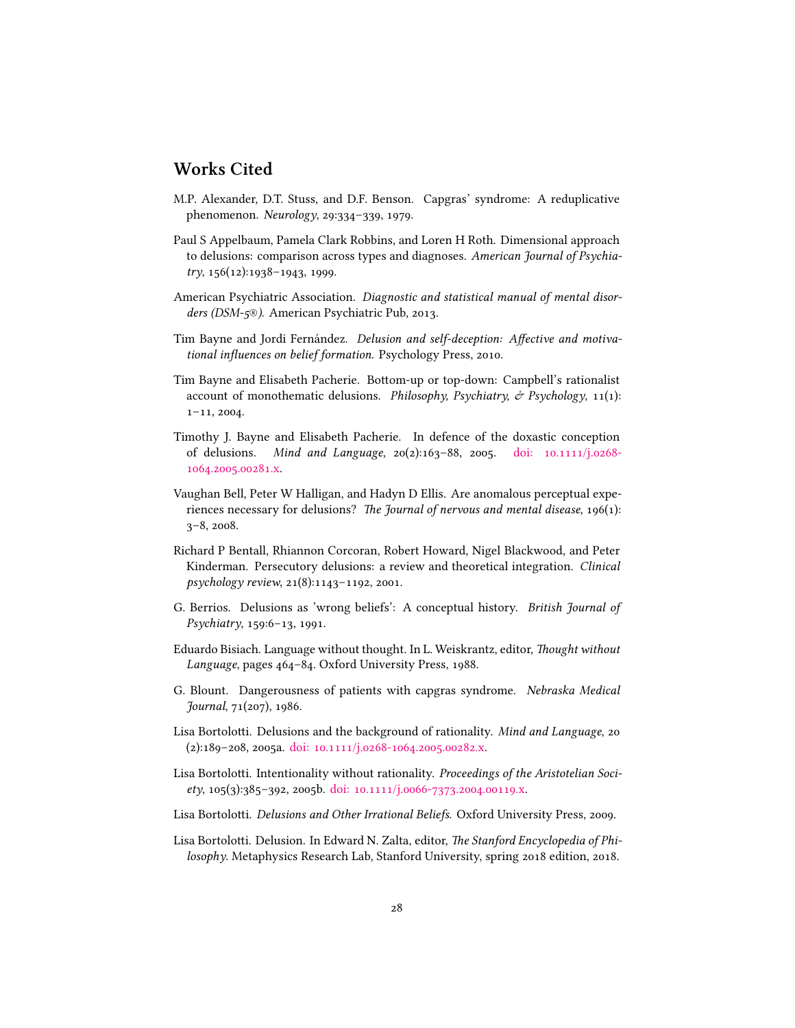## **Works Cited**

- <span id="page-27-3"></span>M.P. Alexander, D.T. Stuss, and D.F. Benson. Capgras' syndrome: A reduplicative phenomenon. *Neurology*, 29:334–339, 1979.
- <span id="page-27-10"></span>Paul S Appelbaum, Pamela Clark Robbins, and Loren H Roth. Dimensional approach to delusions: comparison across types and diagnoses. *American Journal of Psychiatry*, 156(12):1938–1943, 1999.
- <span id="page-27-0"></span>American Psychiatric Association. *Diagnostic and statistical manual of mental disorders (DSM-5®)*. American Psychiatric Pub, 2013.
- <span id="page-27-14"></span>Tim Bayne and Jordi Fernández. *Delusion and self-deception: Affective and motivational influences on belief formation*. Psychology Press, 2010.
- <span id="page-27-12"></span>Tim Bayne and Elisabeth Pacherie. Bottom-up or top-down: Campbell's rationalist account of monothematic delusions. *Philosophy, Psychiatry, & Psychology*, 11(1): 1–11, 2004.
- <span id="page-27-8"></span>Timothy J. Bayne and Elisabeth Pacherie. In defence of the doxastic conception of delusions. *Mind and Language*, 20(2):163–88, 2005. [doi: 10.1111/j.0268-](http://dx.doi.org/10.1111/j.0268-1064.2005.00281.x) [1064.2005.00281.x](http://dx.doi.org/10.1111/j.0268-1064.2005.00281.x).
- <span id="page-27-11"></span>Vaughan Bell, Peter W Halligan, and Hadyn D Ellis. Are anomalous perceptual experiences necessary for delusions? *The Journal of nervous and mental disease*, 196(1): 3–8, 2008.
- <span id="page-27-13"></span>Richard P Bentall, Rhiannon Corcoran, Robert Howard, Nigel Blackwood, and Peter Kinderman. Persecutory delusions: a review and theoretical integration. *Clinical psychology review*, 21(8):1143–1192, 2001.
- <span id="page-27-4"></span>G. Berrios. Delusions as 'wrong beliefs': A conceptual history. *British Journal of Psychiatry*, 159:6–13, 1991.
- <span id="page-27-2"></span>Eduardo Bisiach. Language without thought. In L. Weiskrantz, editor, *Thought without Language*, pages 464–84. Oxford University Press, 1988.
- <span id="page-27-9"></span>G. Blount. Dangerousness of patients with capgras syndrome. *Nebraska Medical Journal*, 71(207), 1986.
- <span id="page-27-5"></span>Lisa Bortolotti. Delusions and the background of rationality. *Mind and Language*, 20 (2):189–208, 2005a. [doi: 10.1111/j.0268-1064.2005.00282.x](http://dx.doi.org/10.1111/j.0268-1064.2005.00282.x).
- <span id="page-27-6"></span>Lisa Bortolotti. Intentionality without rationality. *Proceedings of the Aristotelian Society*, 105(3):385–392, 2005b. [doi: 10.1111/j.0066-7373.2004.00119.x](http://dx.doi.org/10.1111/j.0066-7373.2004.00119.x).
- <span id="page-27-7"></span>Lisa Bortolotti. *Delusions and Other Irrational Beliefs*. Oxford University Press, 2009.
- <span id="page-27-1"></span>Lisa Bortolotti. Delusion. In Edward N. Zalta, editor, *The Stanford Encyclopedia of Philosophy*. Metaphysics Research Lab, Stanford University, spring 2018 edition, 2018.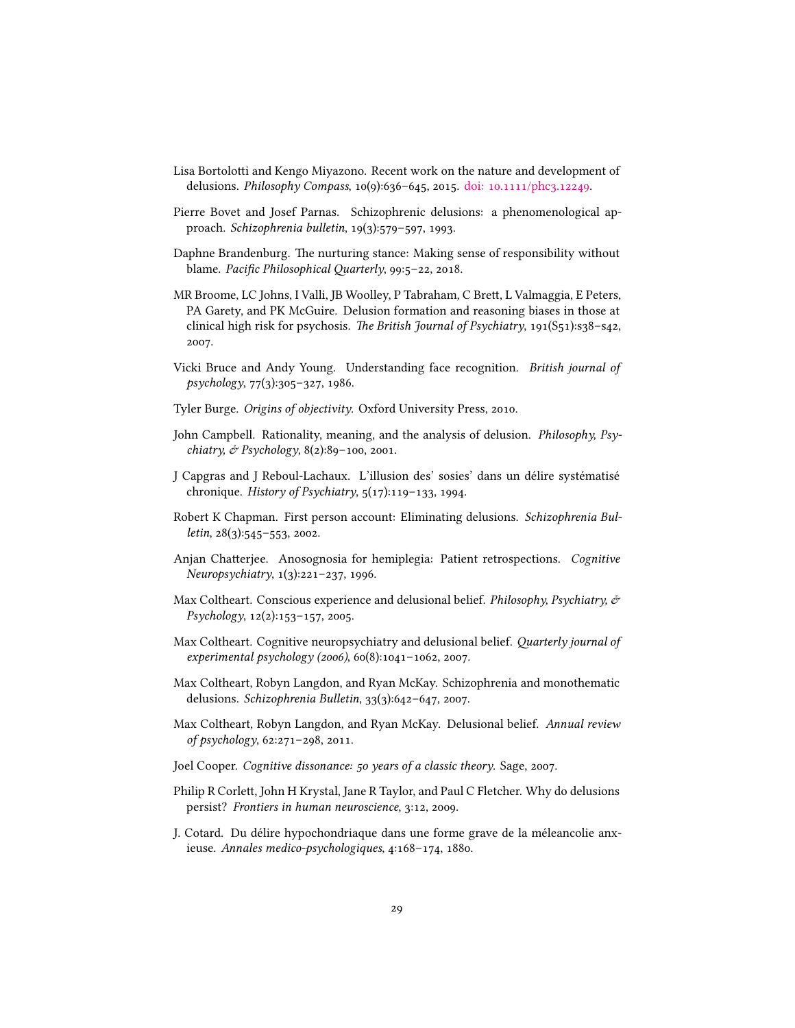- <span id="page-28-4"></span>Lisa Bortolotti and Kengo Miyazono. Recent work on the nature and development of delusions. *Philosophy Compass*, 10(9):636–645, 2015. [doi: 10.1111/phc3.12249](http://dx.doi.org/10.1111/phc3.12249).
- <span id="page-28-5"></span>Pierre Bovet and Josef Parnas. Schizophrenic delusions: a phenomenological approach. *Schizophrenia bulletin*, 19(3):579–597, 1993.
- <span id="page-28-16"></span>Daphne Brandenburg. The nurturing stance: Making sense of responsibility without blame. *Pacific Philosophical Quarterly*, 99:5–22, 2018.
- <span id="page-28-14"></span>MR Broome, LC Johns, I Valli, JB Woolley, P Tabraham, C Brett, L Valmaggia, E Peters, PA Garety, and PK McGuire. Delusion formation and reasoning biases in those at clinical high risk for psychosis. *The British Journal of Psychiatry*, 191(S51):s38–s42, 2007.
- <span id="page-28-8"></span>Vicki Bruce and Andy Young. Understanding face recognition. *British journal of psychology*, 77(3):305–327, 1986.
- <span id="page-28-3"></span>Tyler Burge. *Origins of objectivity*. Oxford University Press, 2010.
- <span id="page-28-11"></span>John Campbell. Rationality, meaning, and the analysis of delusion. *Philosophy, Psychiatry, & Psychology*, 8(2):89–100, 2001.
- <span id="page-28-1"></span>J Capgras and J Reboul-Lachaux. L'illusion des' sosies' dans un délire systématisé chronique. *History of Psychiatry*, 5(17):119–133, 1994.
- <span id="page-28-6"></span>Robert K Chapman. First person account: Eliminating delusions. *Schizophrenia Bulletin*, 28(3):545–553, 2002.
- <span id="page-28-13"></span>Anjan Chatterjee. Anosognosia for hemiplegia: Patient retrospections. *Cognitive Neuropsychiatry*, 1(3):221–237, 1996.
- <span id="page-28-10"></span>Max Coltheart. Conscious experience and delusional belief. *Philosophy, Psychiatry, & Psychology*, 12(2):153–157, 2005.
- <span id="page-28-2"></span>Max Coltheart. Cognitive neuropsychiatry and delusional belief. *Quarterly journal of experimental psychology (2006)*, 60(8):1041–1062, 2007.
- <span id="page-28-9"></span>Max Coltheart, Robyn Langdon, and Ryan McKay. Schizophrenia and monothematic delusions. *Schizophrenia Bulletin*, 33(3):642–647, 2007.
- <span id="page-28-15"></span>Max Coltheart, Robyn Langdon, and Ryan McKay. Delusional belief. *Annual review of psychology*, 62:271–298, 2011.
- <span id="page-28-7"></span>Joel Cooper. *Cognitive dissonance: 50 years of a classic theory*. Sage, 2007.
- <span id="page-28-12"></span>Philip R Corlett, John H Krystal, Jane R Taylor, and Paul C Fletcher. Why do delusions persist? *Frontiers in human neuroscience*, 3:12, 2009.
- <span id="page-28-0"></span>J. Cotard. Du délire hypochondriaque dans une forme grave de la méleancolie anxieuse. *Annales medico-psychologiques*, 4:168–174, 1880.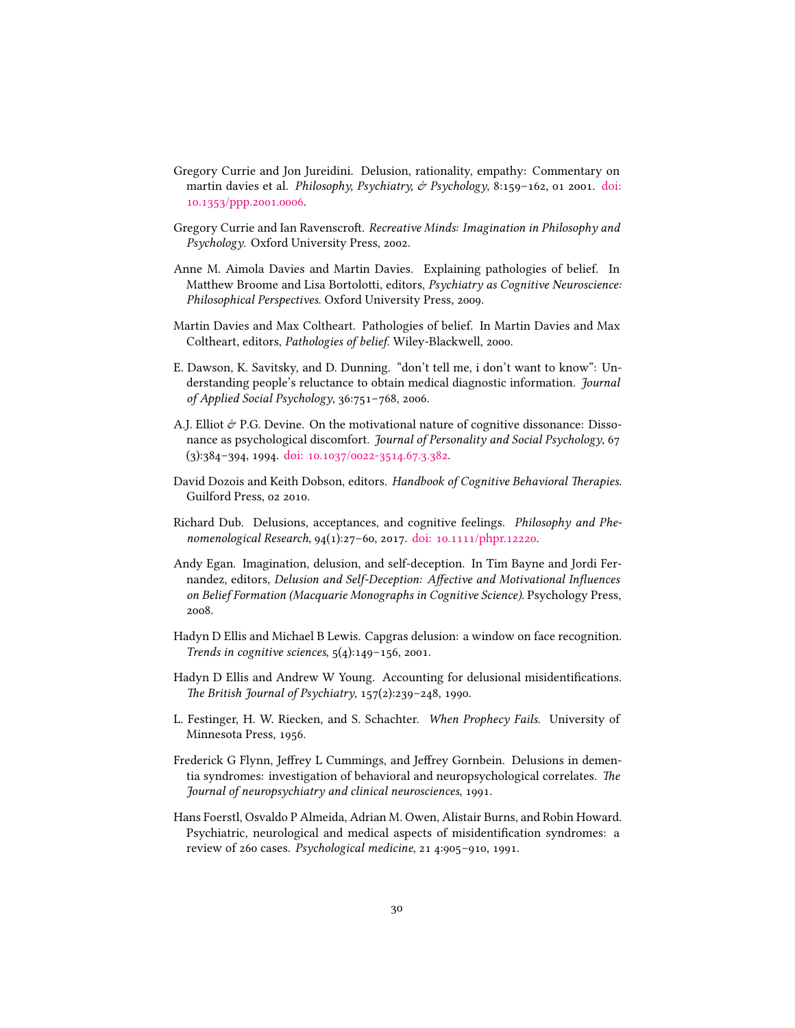- <span id="page-29-13"></span>Gregory Currie and Jon Jureidini. Delusion, rationality, empathy: Commentary on martin davies et al. *Philosophy, Psychiatry, & Psychology*, 8:159–162, 01 2001. [doi:](http://dx.doi.org/10.1353/ppp.2001.0006) [10.1353/ppp.2001.0006.](http://dx.doi.org/10.1353/ppp.2001.0006)
- <span id="page-29-1"></span>Gregory Currie and Ian Ravenscroft. *Recreative Minds: Imagination in Philosophy and Psychology*. Oxford University Press, 2002.
- <span id="page-29-10"></span>Anne M. Aimola Davies and Martin Davies. Explaining pathologies of belief. In Matthew Broome and Lisa Bortolotti, editors, *Psychiatry as Cognitive Neuroscience: Philosophical Perspectives*. Oxford University Press, 2009.
- <span id="page-29-4"></span>Martin Davies and Max Coltheart. Pathologies of belief. In Martin Davies and Max Coltheart, editors, *Pathologies of belief*. Wiley-Blackwell, 2000.
- <span id="page-29-7"></span>E. Dawson, K. Savitsky, and D. Dunning. "don't tell me, i don't want to know": Understanding people's reluctance to obtain medical diagnostic information. *Journal of Applied Social Psychology*, 36:751–768, 2006.
- <span id="page-29-12"></span>A.J. Elliot  $\mathcal{O}$  P.G. Devine. On the motivational nature of cognitive dissonance: Dissonance as psychological discomfort. *Journal of Personality and Social Psychology*, 67 (3):384–394, 1994. [doi: 10.1037/0022-3514.67.3.382](http://dx.doi.org/10.1037/0022-3514.67.3.382).
- <span id="page-29-8"></span>David Dozois and Keith Dobson, editors. *Handbook of Cognitive Behavioral Therapies*. Guilford Press, 02 2010.
- <span id="page-29-2"></span>Richard Dub. Delusions, acceptances, and cognitive feelings. *Philosophy and Phenomenological Research*, 94(1):27–60, 2017. [doi: 10.1111/phpr.12220](http://dx.doi.org/10.1111/phpr.12220).
- <span id="page-29-0"></span>Andy Egan. Imagination, delusion, and self-deception. In Tim Bayne and Jordi Fernandez, editors, *Delusion and Self-Deception: Affective and Motivational Influences on Belief Formation (Macquarie Monographs in Cognitive Science)*. Psychology Press, 2008.
- <span id="page-29-5"></span>Hadyn D Ellis and Michael B Lewis. Capgras delusion: a window on face recognition. *Trends in cognitive sciences*, 5(4):149–156, 2001.
- <span id="page-29-9"></span>Hadyn D Ellis and Andrew W Young. Accounting for delusional misidentifications. *The British Journal of Psychiatry*, 157(2):239–248, 1990.
- <span id="page-29-11"></span>L. Festinger, H. W. Riecken, and S. Schachter. *When Prophecy Fails*. University of Minnesota Press, 1956.
- <span id="page-29-6"></span>Frederick G Flynn, Jeffrey L Cummings, and Jeffrey Gornbein. Delusions in dementia syndromes: investigation of behavioral and neuropsychological correlates. *The Journal of neuropsychiatry and clinical neurosciences*, 1991.
- <span id="page-29-3"></span>Hans Foerstl, Osvaldo P Almeida, Adrian M. Owen, Alistair Burns, and Robin Howard. Psychiatric, neurological and medical aspects of misidentification syndromes: a review of 260 cases. *Psychological medicine*, 21 4:905–910, 1991.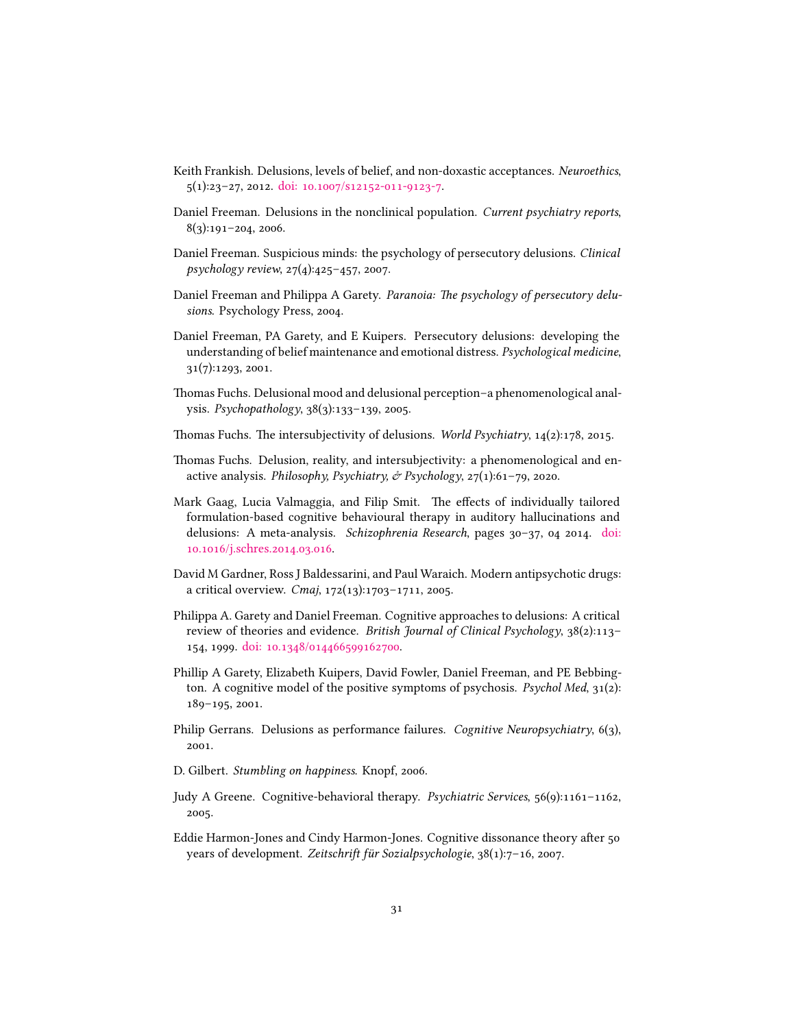- <span id="page-30-1"></span>Keith Frankish. Delusions, levels of belief, and non-doxastic acceptances. *Neuroethics*, 5(1):23–27, 2012. [doi: 10.1007/s12152-011-9123-7](http://dx.doi.org/10.1007/s12152-011-9123-7).
- <span id="page-30-3"></span>Daniel Freeman. Delusions in the nonclinical population. *Current psychiatry reports*, 8(3):191–204, 2006.
- <span id="page-30-0"></span>Daniel Freeman. Suspicious minds: the psychology of persecutory delusions. *Clinical psychology review*, 27(4):425–457, 2007.
- <span id="page-30-11"></span>Daniel Freeman and Philippa A Garety. *Paranoia: The psychology of persecutory delusions*. Psychology Press, 2004.
- <span id="page-30-5"></span>Daniel Freeman, PA Garety, and E Kuipers. Persecutory delusions: developing the understanding of belief maintenance and emotional distress. *Psychological medicine*, 31(7):1293, 2001.
- <span id="page-30-10"></span>Thomas Fuchs. Delusional mood and delusional perception–a phenomenological analysis. *Psychopathology*, 38(3):133–139, 2005.
- <span id="page-30-14"></span>Thomas Fuchs. The intersubjectivity of delusions. *World Psychiatry*, 14(2):178, 2015.
- <span id="page-30-15"></span>Thomas Fuchs. Delusion, reality, and intersubjectivity: a phenomenological and enactive analysis. *Philosophy, Psychiatry, & Psychology*, 27(1):61–79, 2020.
- <span id="page-30-8"></span>Mark Gaag, Lucia Valmaggia, and Filip Smit. The effects of individually tailored formulation-based cognitive behavioural therapy in auditory hallucinations and delusions: A meta-analysis. *Schizophrenia Research*, pages 30–37, 04 2014. [doi:](http://dx.doi.org/10.1016/j.schres.2014.03.016) [10.1016/j.schres.2014.03.016.](http://dx.doi.org/10.1016/j.schres.2014.03.016)
- <span id="page-30-13"></span>David M Gardner, Ross J Baldessarini, and Paul Waraich. Modern antipsychotic drugs: a critical overview. *Cmaj*, 172(13):1703–1711, 2005.
- <span id="page-30-9"></span>Philippa A. Garety and Daniel Freeman. Cognitive approaches to delusions: A critical review of theories and evidence. *British Journal of Clinical Psychology*, 38(2):113– 154, 1999. [doi: 10.1348/014466599162700.](http://dx.doi.org/10.1348/014466599162700)
- <span id="page-30-4"></span>Phillip A Garety, Elizabeth Kuipers, David Fowler, Daniel Freeman, and PE Bebbington. A cognitive model of the positive symptoms of psychosis. *Psychol Med*, 31(2): 189–195, 2001.
- <span id="page-30-2"></span>Philip Gerrans. Delusions as performance failures. *Cognitive Neuropsychiatry*, 6(3), 2001.
- <span id="page-30-6"></span>D. Gilbert. *Stumbling on happiness*. Knopf, 2006.
- <span id="page-30-12"></span>Judy A Greene. Cognitive-behavioral therapy. *Psychiatric Services*, 56(9):1161–1162, 2005.
- <span id="page-30-7"></span>Eddie Harmon-Jones and Cindy Harmon-Jones. Cognitive dissonance theory after 50 years of development. *Zeitschrift für Sozialpsychologie*, 38(1):7–16, 2007.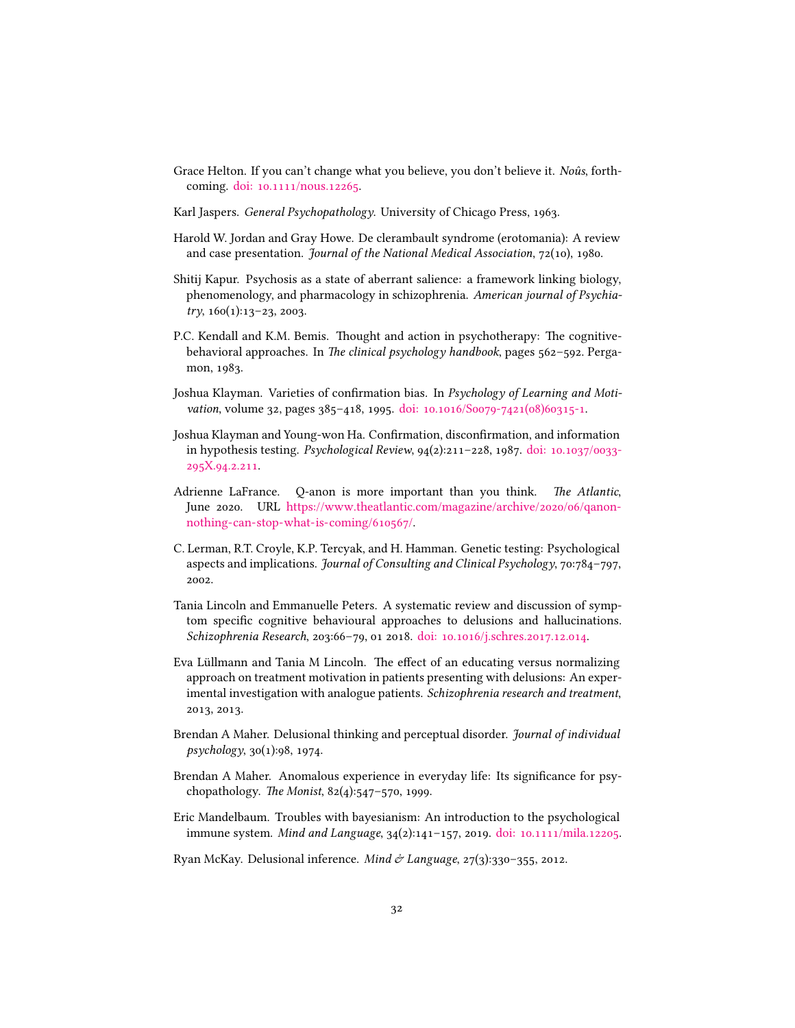- <span id="page-31-1"></span>Grace Helton. If you can't change what you believe, you don't believe it. *Noûs*, forthcoming. [doi: 10.1111/nous.12265](http://dx.doi.org/10.1111/nous.12265).
- <span id="page-31-6"></span>Karl Jaspers. *General Psychopathology*. University of Chicago Press, 1963.
- <span id="page-31-0"></span>Harold W. Jordan and Gray Howe. De clerambault syndrome (erotomania): A review and case presentation. *Journal of the National Medical Association*, 72(10), 1980.
- <span id="page-31-11"></span>Shitij Kapur. Psychosis as a state of aberrant salience: a framework linking biology, phenomenology, and pharmacology in schizophrenia. *American journal of Psychiatry*, 160(1):13–23, 2003.
- <span id="page-31-7"></span>P.C. Kendall and K.M. Bemis. Thought and action in psychotherapy: The cognitivebehavioral approaches. In *The clinical psychology handbook*, pages 562–592. Pergamon, 1983.
- <span id="page-31-4"></span>Joshua Klayman. Varieties of confirmation bias. In *Psychology of Learning and Motivation*, volume 32, pages 385–418, 1995. [doi: 10.1016/S0079-7421\(08\)60315-1.](http://dx.doi.org/10.1016/S0079-7421(08)60315-1)
- <span id="page-31-3"></span>Joshua Klayman and Young-won Ha. Confirmation, disconfirmation, and information in hypothesis testing. *Psychological Review*, 94(2):211–228, 1987. [doi: 10.1037/0033-](http://dx.doi.org/10.1037/0033-295X.94.2.211) [295X.94.2.211.](http://dx.doi.org/10.1037/0033-295X.94.2.211)
- <span id="page-31-2"></span>Adrienne LaFrance. Q-anon is more important than you think. *The Atlantic*, June 2020. URL [https://www.theatlantic.com/magazine/archive/2020/06/qanon](https://www.theatlantic.com/magazine/archive/2020/06/qanon-nothing-can-stop-what-is-coming/610567/)[nothing-can-stop-what-is-coming/610567/](https://www.theatlantic.com/magazine/archive/2020/06/qanon-nothing-can-stop-what-is-coming/610567/).
- <span id="page-31-5"></span>C. Lerman, R.T. Croyle, K.P. Tercyak, and H. Hamman. Genetic testing: Psychological aspects and implications. *Journal of Consulting and Clinical Psychology*, 70:784–797, 2002.
- <span id="page-31-8"></span>Tania Lincoln and Emmanuelle Peters. A systematic review and discussion of symptom specific cognitive behavioural approaches to delusions and hallucinations. *Schizophrenia Research*, 203:66–79, 01 2018. [doi: 10.1016/j.schres.2017.12.014.](http://dx.doi.org/10.1016/j.schres.2017.12.014)
- <span id="page-31-14"></span>Eva Lüllmann and Tania M Lincoln. The effect of an educating versus normalizing approach on treatment motivation in patients presenting with delusions: An experimental investigation with analogue patients. *Schizophrenia research and treatment*, 2013, 2013.
- <span id="page-31-13"></span>Brendan A Maher. Delusional thinking and perceptual disorder. *Journal of individual psychology*, 30(1):98, 1974.
- <span id="page-31-9"></span>Brendan A Maher. Anomalous experience in everyday life: Its significance for psychopathology. *The Monist*, 82(4):547–570, 1999.
- <span id="page-31-12"></span>Eric Mandelbaum. Troubles with bayesianism: An introduction to the psychological immune system. *Mind and Language*, 34(2):141–157, 2019. [doi: 10.1111/mila.12205.](http://dx.doi.org/10.1111/mila.12205)
- <span id="page-31-10"></span>Ryan McKay. Delusional inference. *Mind & Language*, 27(3):330–355, 2012.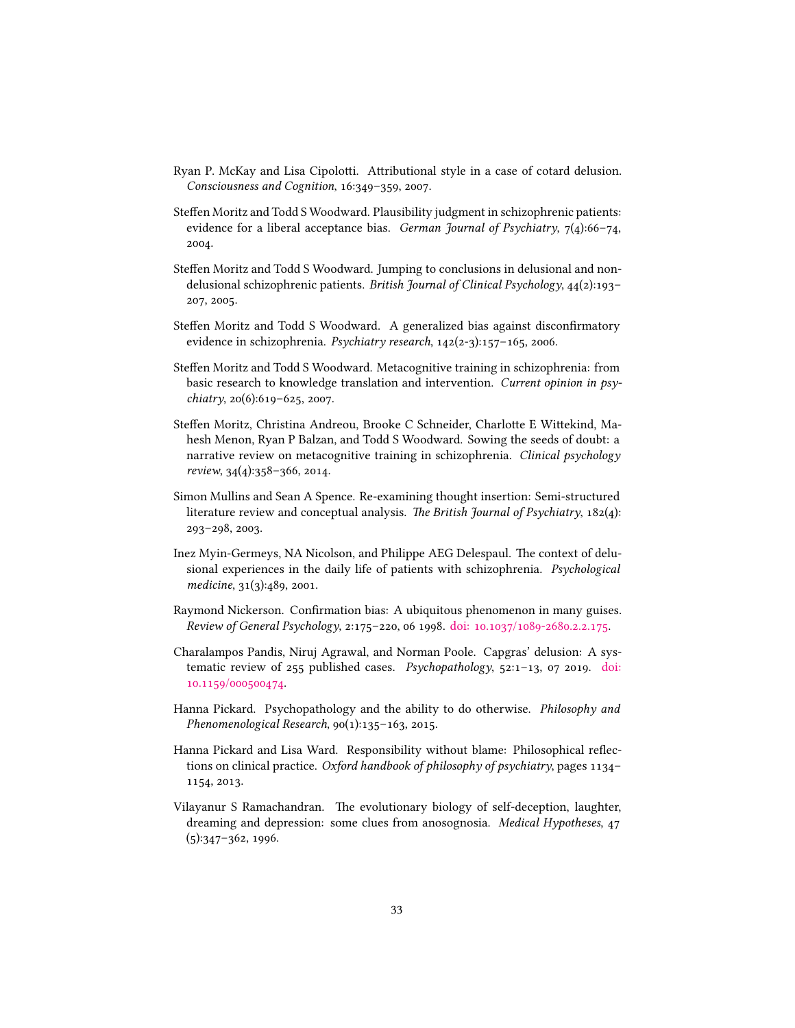- <span id="page-32-6"></span>Ryan P. McKay and Lisa Cipolotti. Attributional style in a case of cotard delusion. *Consciousness and Cognition*, 16:349–359, 2007.
- <span id="page-32-5"></span>Steffen Moritz and Todd S Woodward. Plausibility judgment in schizophrenic patients: evidence for a liberal acceptance bias. *German Journal of Psychiatry*, 7(4):66–74, 2004.
- <span id="page-32-4"></span>Steffen Moritz and Todd S Woodward. Jumping to conclusions in delusional and nondelusional schizophrenic patients. *British Journal of Clinical Psychology*, 44(2):193– 207, 2005.
- <span id="page-32-3"></span>Steffen Moritz and Todd S Woodward. A generalized bias against disconfirmatory evidence in schizophrenia. *Psychiatry research*, 142(2-3):157–165, 2006.
- <span id="page-32-9"></span>Steffen Moritz and Todd S Woodward. Metacognitive training in schizophrenia: from basic research to knowledge translation and intervention. *Current opinion in psychiatry*, 20(6):619–625, 2007.
- <span id="page-32-10"></span>Steffen Moritz, Christina Andreou, Brooke C Schneider, Charlotte E Wittekind, Mahesh Menon, Ryan P Balzan, and Todd S Woodward. Sowing the seeds of doubt: a narrative review on metacognitive training in schizophrenia. *Clinical psychology review*, 34(4):358–366, 2014.
- <span id="page-32-1"></span>Simon Mullins and Sean A Spence. Re-examining thought insertion: Semi-structured literature review and conceptual analysis. *The British Journal of Psychiatry*, 182(4): 293–298, 2003.
- <span id="page-32-7"></span>Inez Myin-Germeys, NA Nicolson, and Philippe AEG Delespaul. The context of delusional experiences in the daily life of patients with schizophrenia. *Psychological medicine*, 31(3):489, 2001.
- <span id="page-32-2"></span>Raymond Nickerson. Confirmation bias: A ubiquitous phenomenon in many guises. *Review of General Psychology*, 2:175–220, 06 1998. [doi: 10.1037/1089-2680.2.2.175.](http://dx.doi.org/10.1037/1089-2680.2.2.175)
- <span id="page-32-0"></span>Charalampos Pandis, Niruj Agrawal, and Norman Poole. Capgras' delusion: A systematic review of 255 published cases. *Psychopathology*, 52:1–13, 07 2019. [doi:](http://dx.doi.org/10.1159/000500474) [10.1159/000500474.](http://dx.doi.org/10.1159/000500474)
- <span id="page-32-12"></span>Hanna Pickard. Psychopathology and the ability to do otherwise. *Philosophy and Phenomenological Research*, 90(1):135–163, 2015.
- <span id="page-32-11"></span>Hanna Pickard and Lisa Ward. Responsibility without blame: Philosophical reflections on clinical practice. *Oxford handbook of philosophy of psychiatry*, pages 1134– 1154, 2013.
- <span id="page-32-8"></span>Vilayanur S Ramachandran. The evolutionary biology of self-deception, laughter, dreaming and depression: some clues from anosognosia. *Medical Hypotheses*, 47 (5):347–362, 1996.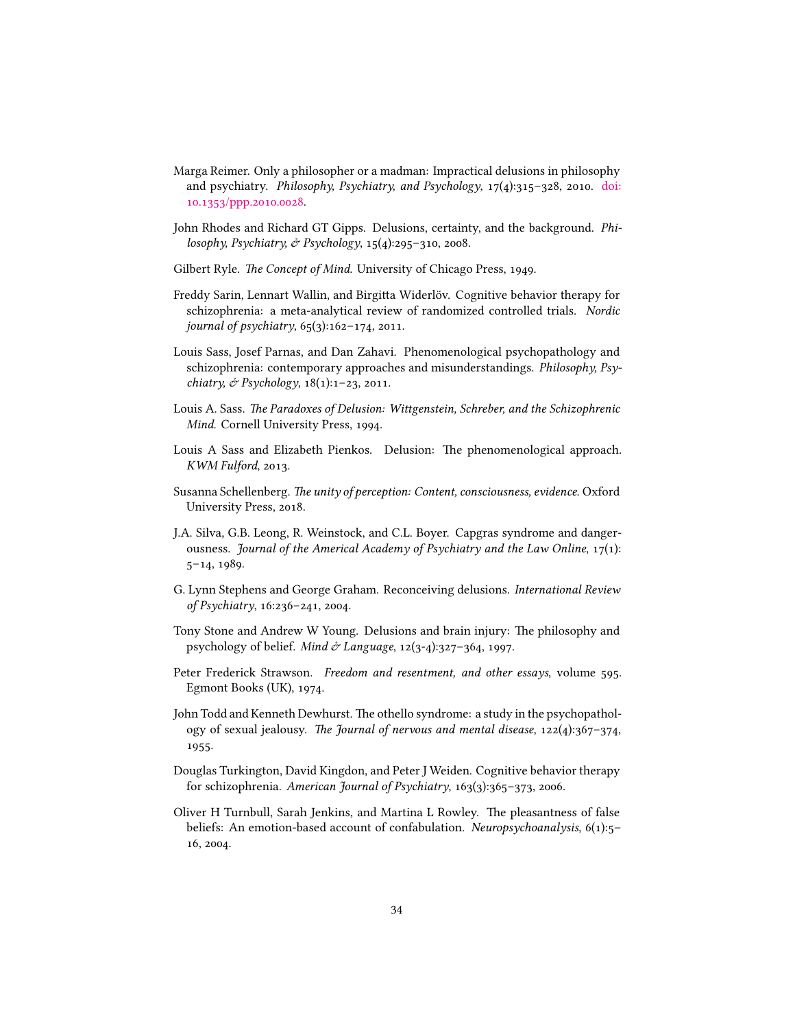- <span id="page-33-2"></span>Marga Reimer. Only a philosopher or a madman: Impractical delusions in philosophy and psychiatry. *Philosophy, Psychiatry, and Psychology*, 17(4):315–328, 2010. [doi:](http://dx.doi.org/10.1353/ppp.2010.0028) [10.1353/ppp.2010.0028.](http://dx.doi.org/10.1353/ppp.2010.0028)
- <span id="page-33-9"></span>John Rhodes and Richard GT Gipps. Delusions, certainty, and the background. *Philosophy, Psychiatry, & Psychology*, 15(4):295–310, 2008.
- <span id="page-33-8"></span>Gilbert Ryle. *The Concept of Mind*. University of Chicago Press, 1949.
- <span id="page-33-10"></span>Freddy Sarin, Lennart Wallin, and Birgitta Widerlöv. Cognitive behavior therapy for schizophrenia: a meta-analytical review of randomized controlled trials. *Nordic journal of psychiatry*, 65(3):162–174, 2011.
- <span id="page-33-4"></span>Louis Sass, Josef Parnas, and Dan Zahavi. Phenomenological psychopathology and schizophrenia: contemporary approaches and misunderstandings. *Philosophy, Psychiatry, & Psychology*, 18(1):1–23, 2011.
- <span id="page-33-3"></span>Louis A. Sass. *The Paradoxes of Delusion: Wittgenstein, Schreber, and the Schizophrenic Mind*. Cornell University Press, 1994.
- <span id="page-33-5"></span>Louis A Sass and Elizabeth Pienkos. Delusion: The phenomenological approach. *KWM Fulford*, 2013.
- <span id="page-33-7"></span>Susanna Schellenberg. *The unity of perception: Content, consciousness, evidence*. Oxford University Press, 2018.
- <span id="page-33-6"></span>J.A. Silva, G.B. Leong, R. Weinstock, and C.L. Boyer. Capgras syndrome and dangerousness. *Journal of the Americal Academy of Psychiatry and the Law Online*, 17(1): 5–14, 1989.
- <span id="page-33-1"></span>G. Lynn Stephens and George Graham. Reconceiving delusions. *International Review of Psychiatry*, 16:236–241, 2004.
- <span id="page-33-12"></span>Tony Stone and Andrew W Young. Delusions and brain injury: The philosophy and psychology of belief. *Mind & Language*, 12(3-4):327–364, 1997.
- <span id="page-33-14"></span>Peter Frederick Strawson. *Freedom and resentment, and other essays*, volume 595. Egmont Books (UK), 1974.
- <span id="page-33-0"></span>John Todd and Kenneth Dewhurst. The othello syndrome: a study in the psychopathology of sexual jealousy. *The Journal of nervous and mental disease*, 122(4):367–374, 1955.
- <span id="page-33-11"></span>Douglas Turkington, David Kingdon, and Peter J Weiden. Cognitive behavior therapy for schizophrenia. *American Journal of Psychiatry*, 163(3):365–373, 2006.
- <span id="page-33-13"></span>Oliver H Turnbull, Sarah Jenkins, and Martina L Rowley. The pleasantness of false beliefs: An emotion-based account of confabulation. *Neuropsychoanalysis*, 6(1):5– 16, 2004.